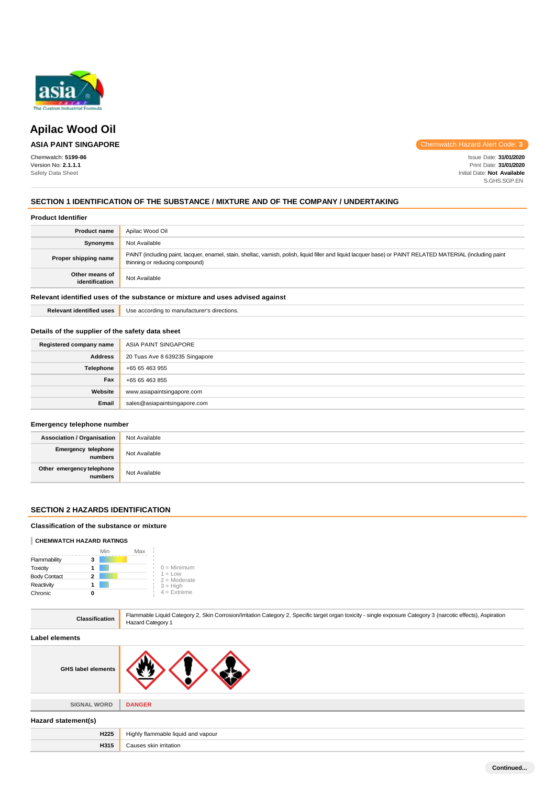

# **Apilac Wood Oil**

# **ASIA PAINT SINGAPORE**

Chemwatch: **5199-86** Version No: **2.1.1.1** Safety Data Sheet

Chemwatch Hazard Alert Code: **3**

Issue Date: **31/01/2020** Print Date: **31/01/2020** Initial Date: **Not Available** S.GHS.SGP.EN

# **SECTION 1 IDENTIFICATION OF THE SUBSTANCE / MIXTURE AND OF THE COMPANY / UNDERTAKING**

#### **Product Identifier**

| <b>Product name</b>              | Apilac Wood Oil                                                                                                                                                                               |
|----------------------------------|-----------------------------------------------------------------------------------------------------------------------------------------------------------------------------------------------|
| Synonyms                         | Not Available                                                                                                                                                                                 |
| Proper shipping name             | PAINT (including paint, lacquer, enamel, stain, shellac, varnish, polish, liquid filler and liquid lacquer base) or PAINT RELATED MATERIAL (including paint<br>thinning or reducing compound) |
| Other means of<br>identification | Not Available                                                                                                                                                                                 |
|                                  |                                                                                                                                                                                               |

### **Relevant identified uses of the substance or mixture and uses advised against**

**Relevant identified uses** Use according to manufacturer's directions.

# **Details of the supplier of the safety data sheet**

| Registered company name | ASIA PAINT SINGAPORE           |
|-------------------------|--------------------------------|
| <b>Address</b>          | 20 Tuas Ave 8 639235 Singapore |
| Telephone               | +65 65 463 955                 |
| Fax                     | +65 65 463 855                 |
| Website                 | www.asiapaintsingapore.com     |
| Email                   | sales@asiapaintsingapore.com   |

# **Emergency telephone number**

| <b>Association / Organisation</b>    | Not Available |
|--------------------------------------|---------------|
| Emergency telephone<br>numbers       | Not Available |
| Other emergency telephone<br>numbers | Not Available |

### **SECTION 2 HAZARDS IDENTIFICATION**

# **Classification of the substance or mixture**

#### **CHEMWATCH HAZARD RATINGS**

|                     | Min | Max |                             |
|---------------------|-----|-----|-----------------------------|
| Flammability        | 3   |     |                             |
| Toxicity            |     |     | $0 =$ Minimum               |
| <b>Body Contact</b> | 2   |     | $1 = Low$<br>$2 =$ Moderate |
| Reactivity          |     |     | $3 = High$                  |
| Chronic             | n   |     | $4$ = Extreme               |

| <b>Classification</b>     | Flammable Liquid Category 2, Skin Corrosion/Irritation Category 2, Specific target organ toxicity - single exposure Category 3 (narcotic effects), Aspiration<br>Hazard Category 1 |  |
|---------------------------|------------------------------------------------------------------------------------------------------------------------------------------------------------------------------------|--|
| <b>Label elements</b>     |                                                                                                                                                                                    |  |
| <b>GHS label elements</b> |                                                                                                                                                                                    |  |
| <b>SIGNAL WORD</b>        | <b>DANGER</b>                                                                                                                                                                      |  |
| Hazard statement(s)       |                                                                                                                                                                                    |  |
| <b>H225</b>               | Highly flammable liquid and vapour                                                                                                                                                 |  |
| H315                      | Causes skin irritation                                                                                                                                                             |  |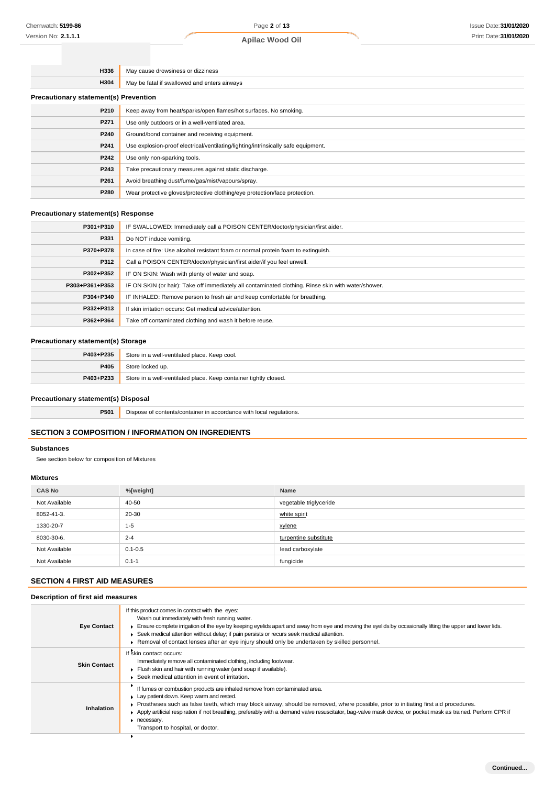# **Apilac Wood Oil**

| H336                                         | May cause drowsiness or dizziness                                                 |  |
|----------------------------------------------|-----------------------------------------------------------------------------------|--|
| H304                                         | May be fatal if swallowed and enters airways                                      |  |
| <b>Precautionary statement(s) Prevention</b> |                                                                                   |  |
| P210                                         | Keep away from heat/sparks/open flames/hot surfaces. No smoking.                  |  |
| P271                                         | Use only outdoors or in a well-ventilated area.                                   |  |
| P240                                         | Ground/bond container and receiving equipment.                                    |  |
| P241                                         | Use explosion-proof electrical/ventilating/lighting/intrinsically safe equipment. |  |
| P242                                         | Use only non-sparking tools.                                                      |  |
| P243                                         | Take precautionary measures against static discharge.                             |  |
| P261                                         | Avoid breathing dust/fume/gas/mist/vapours/spray.                                 |  |
| P280                                         | Wear protective gloves/protective clothing/eye protection/face protection.        |  |

### **Precautionary statement(s) Response**

| P301+P310      | IF SWALLOWED: Immediately call a POISON CENTER/doctor/physician/first aider.                        |
|----------------|-----------------------------------------------------------------------------------------------------|
| P331           | Do NOT induce vomiting.                                                                             |
| P370+P378      | In case of fire: Use alcohol resistant foam or normal protein foam to extinguish.                   |
| P312           | Call a POISON CENTER/doctor/physician/first aider/if you feel unwell.                               |
| P302+P352      | IF ON SKIN: Wash with plenty of water and soap.                                                     |
| P303+P361+P353 | IF ON SKIN (or hair): Take off immediately all contaminated clothing. Rinse skin with water/shower. |
| P304+P340      | IF INHALED: Remove person to fresh air and keep comfortable for breathing.                          |
| P332+P313      | If skin irritation occurs: Get medical advice/attention.                                            |
| P362+P364      | Take off contaminated clothing and wash it before reuse.                                            |

# **Precautionary statement(s) Storage**

| P403+P235 | Store in a well-ventilated place. Keep cool.                     |
|-----------|------------------------------------------------------------------|
| P405      | Store locked up.                                                 |
| P403+P233 | Store in a well-ventilated place. Keep container tightly closed. |

# **Precautionary statement(s) Disposal**

**P501** Dispose of contents/container in accordance with local regulations.

# **SECTION 3 COMPOSITION / INFORMATION ON INGREDIENTS**

#### **Substances**

See section below for composition of Mixtures

# **Mixtures**

| <b>CAS No</b> | %[weight]   | Name                   |
|---------------|-------------|------------------------|
| Not Available | 40-50       | vegetable triglyceride |
| 8052-41-3.    | 20-30       | white spirit           |
| 1330-20-7     | $1 - 5$     | xylene                 |
| 8030-30-6.    | $2 - 4$     | turpentine substitute  |
| Not Available | $0.1 - 0.5$ | lead carboxylate       |
| Not Available | $0.1 - 1$   | fungicide              |

# **SECTION 4 FIRST AID MEASURES**

### **Description of first aid measures**

| <b>Eye Contact</b>  | If this product comes in contact with the eyes:<br>Wash out immediately with fresh running water.<br>Ensure complete irrigation of the eye by keeping eyelids apart and away from eye and moving the eyelids by occasionally lifting the upper and lower lids.<br>► Seek medical attention without delay; if pain persists or recurs seek medical attention.<br>► Removal of contact lenses after an eye injury should only be undertaken by skilled personnel.                    |
|---------------------|------------------------------------------------------------------------------------------------------------------------------------------------------------------------------------------------------------------------------------------------------------------------------------------------------------------------------------------------------------------------------------------------------------------------------------------------------------------------------------|
| <b>Skin Contact</b> | If skin contact occurs:<br>Immediately remove all contaminated clothing, including footwear.<br>Flush skin and hair with running water (and soap if available).<br>▶ Seek medical attention in event of irritation.                                                                                                                                                                                                                                                                |
| Inhalation          | If fumes or combustion products are inhaled remove from contaminated area.<br>Lay patient down. Keep warm and rested.<br>▶ Prostheses such as false teeth, which may block airway, should be removed, where possible, prior to initiating first aid procedures.<br>Apply artificial respiration if not breathing, preferably with a demand valve resuscitator, bag-valve mask device, or pocket mask as trained. Perform CPR if<br>necessary.<br>Transport to hospital, or doctor. |
|                     |                                                                                                                                                                                                                                                                                                                                                                                                                                                                                    |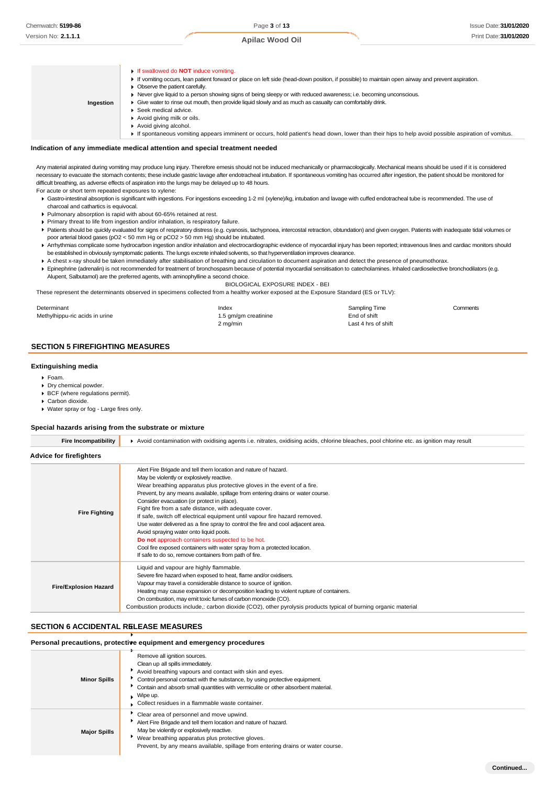

#### **Indication of any immediate medical attention and special treatment needed**

Any material aspirated during vomiting may produce lung injury. Therefore emesis should not be induced mechanically or pharmacologically. Mechanical means should be used if it is considered necessary to evacuate the stomach contents; these include gastric lavage after endotracheal intubation. If spontaneous vomiting has occurred after ingestion, the patient should be monitored for difficult breathing, as adverse effects of aspiration into the lungs may be delayed up to 48 hours.

For acute or short term repeated exposures to xylene:

- Gastro-intestinal absorption is significant with ingestions. For ingestions exceeding 1-2 ml (xylene)/kg, intubation and lavage with cuffed endotracheal tube is recommended. The use of charcoal and cathartics is equivocal.
- Pulmonary absorption is rapid with about 60-65% retained at rest.
- Primary threat to life from ingestion and/or inhalation, is respiratory failure.
- Patients should be quickly evaluated for signs of respiratory distress (e.g. cyanosis, tachypnoea, intercostal retraction, obtundation) and given oxygen. Patients with inadequate tidal volumes or poor arterial blood gases (pO2 < 50 mm Hg or pCO2 > 50 mm Hg) should be intubated.
- ▶ Arrhythmias complicate some hydrocarbon ingestion and/or inhalation and electrocardiographic evidence of myocardial injury has been reported; intravenous lines and cardiac monitors should be established in obviously symptomatic patients. The lungs excrete inhaled solvents, so that hyperventilation improves clearance.
- A chest x-ray should be taken immediately after stabilisation of breathing and circulation to document aspiration and detect the presence of pneumothorax. Epinephrine (adrenalin) is not recommended for treatment of bronchospasm because of potential myocardial sensitisation to catecholamines. Inhaled cardioselective bronchodilators (e.g.
- Alupent, Salbutamol) are the preferred agents, with aminophylline a second choice.

BIOLOGICAL EXPOSURE INDEX - BEI These represent the determinants observed in specimens collected from a healthy worker exposed at the Exposure Standard (ES or TLV):

**Determinant** Methylhippu-ric acids in urine Index 1.5 gm/gm creatinine 2 mg/min Sampling Time Comments End of shift Last 4 hrs of shift

# **SECTION 5 FIREFIGHTING MEASURES**

#### **Extinguishing media**

- Foam.
- Dry chemical powder.
- ▶ BCF (where regulations permit).
- ▶ Carbon dioxide.
- Water spray or fog Large fires only.

#### **Special hazards arising from the substrate or mixture**

| <b>Fire Incompatibility</b>    | Avoid contamination with oxidising agents i.e. nitrates, oxidising acids, chlorine bleaches, pool chlorine etc. as ignition may result                                                                                                                                                                                                                                                                                                                                                                                                                                                                                                                                                                                                                                                 |
|--------------------------------|----------------------------------------------------------------------------------------------------------------------------------------------------------------------------------------------------------------------------------------------------------------------------------------------------------------------------------------------------------------------------------------------------------------------------------------------------------------------------------------------------------------------------------------------------------------------------------------------------------------------------------------------------------------------------------------------------------------------------------------------------------------------------------------|
| <b>Advice for firefighters</b> |                                                                                                                                                                                                                                                                                                                                                                                                                                                                                                                                                                                                                                                                                                                                                                                        |
| <b>Fire Fighting</b>           | Alert Fire Brigade and tell them location and nature of hazard.<br>May be violently or explosively reactive.<br>Wear breathing apparatus plus protective gloves in the event of a fire.<br>Prevent, by any means available, spillage from entering drains or water course.<br>Consider evacuation (or protect in place).<br>Fight fire from a safe distance, with adequate cover.<br>If safe, switch off electrical equipment until vapour fire hazard removed.<br>Use water delivered as a fine spray to control the fire and cool adjacent area.<br>Avoid spraying water onto liquid pools.<br>Do not approach containers suspected to be hot.<br>Cool fire exposed containers with water spray from a protected location.<br>If safe to do so, remove containers from path of fire. |
| <b>Fire/Explosion Hazard</b>   | Liquid and vapour are highly flammable.<br>Severe fire hazard when exposed to heat, flame and/or oxidisers.<br>Vapour may travel a considerable distance to source of ignition.<br>Heating may cause expansion or decomposition leading to violent rupture of containers.<br>On combustion, may emit toxic fumes of carbon monoxide (CO).<br>Combustion products include, carbon dioxide (CO2), other pyrolysis products typical of burning organic material                                                                                                                                                                                                                                                                                                                           |

#### **SECTION 6 ACCIDENTAL RELEASE MEASURES**

#### **Personal precautions, protective equipment and emergency procedures**

| <b>Minor Spills</b> | Remove all ignition sources.<br>Clean up all spills immediately.<br>Avoid breathing vapours and contact with skin and eyes.<br>• Control personal contact with the substance, by using protective equipment.<br>Contain and absorb small quantities with vermiculite or other absorbent material.<br>$\blacksquare$ Wipe up.<br>Collect residues in a flammable waste container. |
|---------------------|----------------------------------------------------------------------------------------------------------------------------------------------------------------------------------------------------------------------------------------------------------------------------------------------------------------------------------------------------------------------------------|
| <b>Major Spills</b> | Clear area of personnel and move upwind.<br>Alert Fire Brigade and tell them location and nature of hazard.<br>May be violently or explosively reactive.<br>Wear breathing apparatus plus protective gloves.<br>Prevent, by any means available, spillage from entering drains or water course.                                                                                  |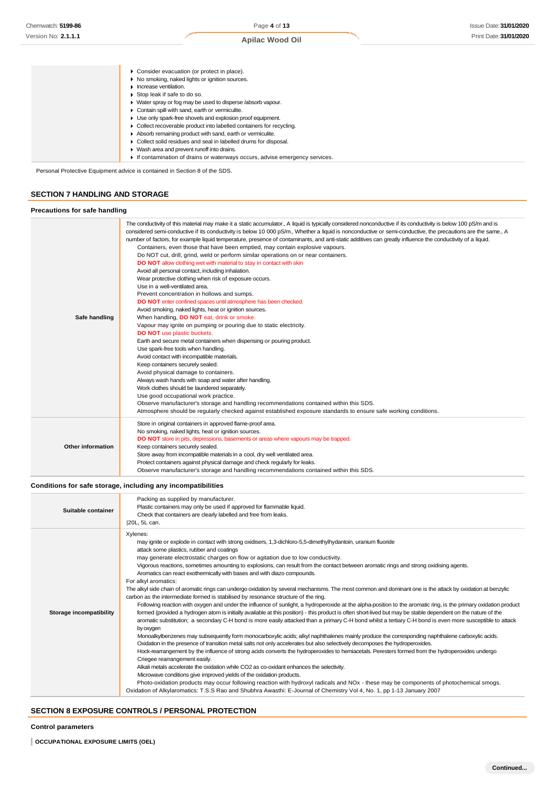|                                       | Consider evacuation (or protect in place).<br>▶ No smoking, naked lights or ignition sources.<br>$\blacktriangleright$ Increase ventilation.<br>Stop leak if safe to do so. |
|---------------------------------------|-----------------------------------------------------------------------------------------------------------------------------------------------------------------------------|
|                                       | • Water spray or fog may be used to disperse /absorb vapour.                                                                                                                |
|                                       | Contain spill with sand, earth or vermiculite.<br>Use only spark-free shovels and explosion proof equipment.                                                                |
|                                       | • Collect recoverable product into labelled containers for recycling.                                                                                                       |
|                                       | Absorb remaining product with sand, earth or vermiculite.<br>Collect solid residues and seal in labelled drums for disposal.                                                |
|                                       | ▶ Wash area and prevent runoff into drains.                                                                                                                                 |
|                                       | If contamination of drains or waterways occurs, advise emergency services.                                                                                                  |
| <b>SECTION 7 HANDLING AND STORAGE</b> | Personal Protective Equipment advice is contained in Section 8 of the SDS.                                                                                                  |
| Precautions for safe handling         |                                                                                                                                                                             |
|                                       |                                                                                                                                                                             |

|                          | number of factors, for example liquid temperature, presence of contaminants, and anti-static additives can greatly influence the conductivity of a liquid. |
|--------------------------|------------------------------------------------------------------------------------------------------------------------------------------------------------|
|                          | Containers, even those that have been emptied, may contain explosive vapours.                                                                              |
|                          | Do NOT cut, drill, grind, weld or perform similar operations on or near containers.                                                                        |
|                          | DO NOT allow clothing wet with material to stay in contact with skin                                                                                       |
|                          | Avoid all personal contact, including inhalation.                                                                                                          |
|                          | Wear protective clothing when risk of exposure occurs.                                                                                                     |
|                          | Use in a well-ventilated area.                                                                                                                             |
|                          | Prevent concentration in hollows and sumps.                                                                                                                |
|                          | DO NOT enter confined spaces until atmosphere has been checked.                                                                                            |
|                          | Avoid smoking, naked lights, heat or ignition sources.                                                                                                     |
| Safe handling            | When handling, DO NOT eat, drink or smoke.                                                                                                                 |
|                          | Vapour may ignite on pumping or pouring due to static electricity.                                                                                         |
|                          | <b>DO NOT</b> use plastic buckets.                                                                                                                         |
|                          | Earth and secure metal containers when dispensing or pouring product.                                                                                      |
|                          | Use spark-free tools when handling.                                                                                                                        |
|                          | Avoid contact with incompatible materials.                                                                                                                 |
|                          | Keep containers securely sealed.                                                                                                                           |
|                          | Avoid physical damage to containers.                                                                                                                       |
|                          | Always wash hands with soap and water after handling.                                                                                                      |
|                          | Work clothes should be laundered separately.                                                                                                               |
|                          | Use good occupational work practice.                                                                                                                       |
|                          | Observe manufacturer's storage and handling recommendations contained within this SDS.                                                                     |
|                          | Atmosphere should be reqularly checked against established exposure standards to ensure safe working conditions.                                           |
|                          | Store in original containers in approved flame-proof area.                                                                                                 |
|                          | No smoking, naked lights, heat or ignition sources.                                                                                                        |
|                          | DO NOT store in pits, depressions, basements or areas where vapours may be trapped.                                                                        |
| <b>Other information</b> | Keep containers securely sealed.                                                                                                                           |
|                          | Store away from incompatible materials in a cool, dry well ventilated area.                                                                                |
|                          | Protect containers against physical damage and check regularly for leaks.                                                                                  |
|                          | Observe manufacturer's storage and handling recommendations contained within this SDS.                                                                     |
|                          |                                                                                                                                                            |

### **Conditions for safe storage, including any incompatibilities**

| Suitable container             | Packing as supplied by manufacturer.<br>Plastic containers may only be used if approved for flammable liquid.<br>Check that containers are clearly labelled and free from leaks.<br>[20L, 5L can.                                                                                                                                                                                                                                                                                                                                                                                                                                                                                                                                                                                                                                                                                                                                                                                                                                                                                                                                                                                                                                                                                                                                                                                                                                                                                                                                                                                                                                                                                                                                                                                                                                                                                                                                                                                                                                                                                                                                                                                           |
|--------------------------------|---------------------------------------------------------------------------------------------------------------------------------------------------------------------------------------------------------------------------------------------------------------------------------------------------------------------------------------------------------------------------------------------------------------------------------------------------------------------------------------------------------------------------------------------------------------------------------------------------------------------------------------------------------------------------------------------------------------------------------------------------------------------------------------------------------------------------------------------------------------------------------------------------------------------------------------------------------------------------------------------------------------------------------------------------------------------------------------------------------------------------------------------------------------------------------------------------------------------------------------------------------------------------------------------------------------------------------------------------------------------------------------------------------------------------------------------------------------------------------------------------------------------------------------------------------------------------------------------------------------------------------------------------------------------------------------------------------------------------------------------------------------------------------------------------------------------------------------------------------------------------------------------------------------------------------------------------------------------------------------------------------------------------------------------------------------------------------------------------------------------------------------------------------------------------------------------|
| <b>Storage incompatibility</b> | Xylenes:<br>may ignite or explode in contact with strong oxidisers, 1,3-dichloro-5,5-dimethylhydantoin, uranium fluoride<br>attack some plastics, rubber and coatings<br>may generate electrostatic charges on flow or agitation due to low conductivity.<br>Vigorous reactions, sometimes amounting to explosions, can result from the contact between aromatic rings and strong oxidising agents.<br>Aromatics can react exothermically with bases and with diazo compounds.<br>For alkyl aromatics:<br>The alkyl side chain of aromatic rings can undergo oxidation by several mechanisms. The most common and dominant one is the attack by oxidation at benzylic<br>carbon as the intermediate formed is stabilised by resonance structure of the ring.<br>Following reaction with oxygen and under the influence of sunlight, a hydroperoxide at the alpha-position to the aromatic ring, is the primary oxidation product<br>formed (provided a hydrogen atom is initially available at this position) - this product is often short-lived but may be stable dependent on the nature of the<br>aromatic substitution; a secondary C-H bond is more easily attacked than a primary C-H bond whilst a tertiary C-H bond is even more susceptible to attack<br>by oxygen<br>Monoalkylbenzenes may subsequently form monocarboxylic acids; alkyl naphthalenes mainly produce the corresponding naphthalene carboxylic acids.<br>Oxidation in the presence of transition metal salts not only accelerates but also selectively decomposes the hydroperoxides.<br>Hock-rearrangement by the influence of strong acids converts the hydroperoxides to hemiacetals. Peresters formed from the hydroperoxides undergo<br>Criegee rearrangement easily.<br>Alkali metals accelerate the oxidation while CO2 as co-oxidant enhances the selectivity.<br>Microwave conditions give improved yields of the oxidation products.<br>Photo-oxidation products may occur following reaction with hydroxyl radicals and NOx - these may be components of photochemical smogs.<br>Oxidation of Alkylaromatics: T.S.S Rao and Shubhra Awasthi: E-Journal of Chemistry Vol 4, No. 1, pp 1-13 January 2007 |

# **SECTION 8 EXPOSURE CONTROLS / PERSONAL PROTECTION**

**Control parameters**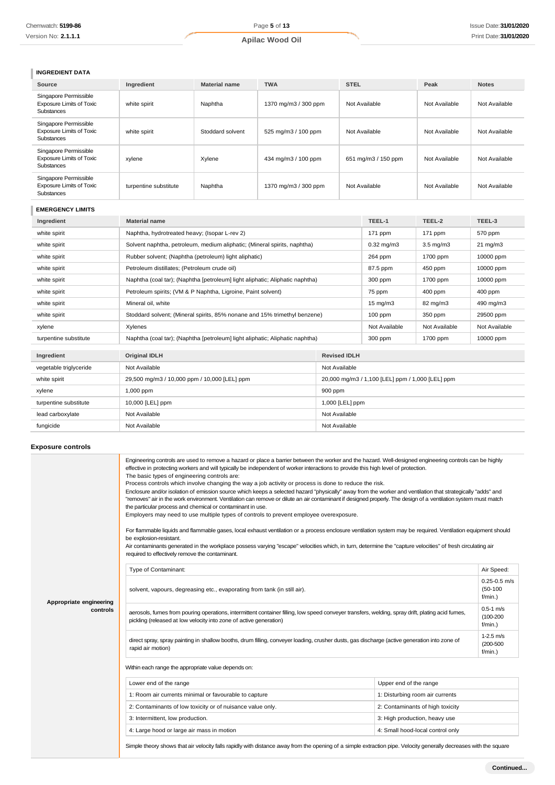# **INGREDIENT DATA**

| Source                                                                        | Ingredient            | <b>Material name</b> | <b>TWA</b>           | <b>STEL</b>         | Peak          | <b>Notes</b>  |
|-------------------------------------------------------------------------------|-----------------------|----------------------|----------------------|---------------------|---------------|---------------|
| Singapore Permissible<br><b>Exposure Limits of Toxic</b><br><b>Substances</b> | white spirit          | Naphtha              | 1370 mg/m3 / 300 ppm | Not Available       | Not Available | Not Available |
| Singapore Permissible<br><b>Exposure Limits of Toxic</b><br><b>Substances</b> | white spirit          | Stoddard solvent     | 525 mg/m3 / 100 ppm  | Not Available       | Not Available | Not Available |
| Singapore Permissible<br><b>Exposure Limits of Toxic</b><br><b>Substances</b> | xylene                | Xylene               | 434 mg/m3 / 100 ppm  | 651 mg/m3 / 150 ppm | Not Available | Not Available |
| Singapore Permissible<br><b>Exposure Limits of Toxic</b><br><b>Substances</b> | turpentine substitute | Naphtha              | 1370 mg/m3 / 300 ppm | Not Available       | Not Available | Not Available |

# **EMERGENCY LIMITS**

| Ingredient             | <b>Material name</b>                                                         |                     | TEEL-1                                           | TEEL-2             | TEEL-3            |
|------------------------|------------------------------------------------------------------------------|---------------------|--------------------------------------------------|--------------------|-------------------|
| white spirit           | Naphtha, hydrotreated heavy; (Isopar L-rev 2)                                |                     | 171 ppm                                          | 171 ppm            | 570 ppm           |
| white spirit           | Solvent naphtha, petroleum, medium aliphatic; (Mineral spirits, naphtha)     |                     | $0.32$ mg/m $3$                                  | $3.5 \text{ mg/m}$ | $21 \text{ mg/m}$ |
| white spirit           | Rubber solvent; (Naphtha (petroleum) light aliphatic)                        |                     | 264 ppm                                          | 1700 ppm           | 10000 ppm         |
| white spirit           | Petroleum distillates; (Petroleum crude oil)                                 |                     | 87.5 ppm                                         | 450 ppm            | 10000 ppm         |
| white spirit           | Naphtha (coal tar); (Naphtha [petroleum] light aliphatic; Aliphatic naphtha) |                     | 300 ppm                                          | 1700 ppm           | 10000 ppm         |
| white spirit           | Petroleum spirits; (VM & P Naphtha, Ligroine, Paint solvent)                 |                     | 75 ppm                                           | $400$ ppm          | 400 ppm           |
| white spirit           | Mineral oil, white                                                           |                     | $15 \text{ mg/m}$                                | 82 mg/m3           | 490 mg/m3         |
| white spirit           | Stoddard solvent; (Mineral spirits, 85% nonane and 15% trimethyl benzene)    |                     | $100$ ppm                                        | 350 ppm            | 29500 ppm         |
| xylene                 | Xylenes                                                                      |                     | Not Available                                    | Not Available      | Not Available     |
| turpentine substitute  | Naphtha (coal tar); (Naphtha [petroleum] light aliphatic; Aliphatic naphtha) |                     | 300 ppm                                          | 1700 ppm           | 10000 ppm         |
| Ingredient             | <b>Original IDLH</b>                                                         | <b>Revised IDLH</b> |                                                  |                    |                   |
| vegetable triglyceride | Not Available<br>Not Available                                               |                     |                                                  |                    |                   |
| white spirit           | 29,500 mg/m3 / 10,000 ppm / 10,000 [LEL] ppm                                 |                     | 20,000 mg/m3 / 1,100 [LEL] ppm / 1,000 [LEL] ppm |                    |                   |
| xylene                 | 900 ppm<br>1,000 ppm                                                         |                     |                                                  |                    |                   |
| turpentine substitute  | 10,000 [LEL] ppm<br>1,000 [LEL] ppm                                          |                     |                                                  |                    |                   |
| lead carboxylate       | Not Available<br>Not Available                                               |                     |                                                  |                    |                   |
| fungicide              | Not Available<br>Not Available                                               |                     |                                                  |                    |                   |

# **Exposure controls**

|                                     | Engineering controls are used to remove a hazard or place a barrier between the worker and the hazard. Well-designed engineering controls can be highly<br>effective in protecting workers and will typically be independent of worker interactions to provide this high level of protection.<br>The basic types of engineering controls are:<br>Process controls which involve changing the way a job activity or process is done to reduce the risk.<br>Enclosure and/or isolation of emission source which keeps a selected hazard "physically" away from the worker and ventilation that strategically "adds" and<br>"removes" air in the work environment. Ventilation can remove or dilute an air contaminant if designed properly. The design of a ventilation system must match<br>the particular process and chemical or contaminant in use.<br>Employers may need to use multiple types of controls to prevent employee overexposure.<br>For flammable liquids and flammable gases, local exhaust ventilation or a process enclosure ventilation system may be required. Ventilation equipment should<br>be explosion-resistant.<br>Air contaminants generated in the workplace possess varying "escape" velocities which, in turn, determine the "capture velocities" of fresh circulating air<br>required to effectively remove the contaminant. |                                  |                                              |
|-------------------------------------|--------------------------------------------------------------------------------------------------------------------------------------------------------------------------------------------------------------------------------------------------------------------------------------------------------------------------------------------------------------------------------------------------------------------------------------------------------------------------------------------------------------------------------------------------------------------------------------------------------------------------------------------------------------------------------------------------------------------------------------------------------------------------------------------------------------------------------------------------------------------------------------------------------------------------------------------------------------------------------------------------------------------------------------------------------------------------------------------------------------------------------------------------------------------------------------------------------------------------------------------------------------------------------------------------------------------------------------------------------------|----------------------------------|----------------------------------------------|
|                                     | Type of Contaminant:                                                                                                                                                                                                                                                                                                                                                                                                                                                                                                                                                                                                                                                                                                                                                                                                                                                                                                                                                                                                                                                                                                                                                                                                                                                                                                                                         |                                  | Air Speed:                                   |
| Appropriate engineering<br>controls | solvent, vapours, degreasing etc., evaporating from tank (in still air).                                                                                                                                                                                                                                                                                                                                                                                                                                                                                                                                                                                                                                                                                                                                                                                                                                                                                                                                                                                                                                                                                                                                                                                                                                                                                     |                                  | $0.25 - 0.5$ m/s<br>$(50-100)$<br>f/min.)    |
|                                     | aerosols, fumes from pouring operations, intermittent container filling, low speed conveyer transfers, welding, spray drift, plating acid fumes,<br>pickling (released at low velocity into zone of active generation)                                                                                                                                                                                                                                                                                                                                                                                                                                                                                                                                                                                                                                                                                                                                                                                                                                                                                                                                                                                                                                                                                                                                       |                                  | $0.5 - 1$ m/s<br>$(100 - 200)$<br>$f/min.$ ) |
|                                     | direct spray, spray painting in shallow booths, drum filling, conveyer loading, crusher dusts, gas discharge (active generation into zone of<br>rapid air motion)                                                                                                                                                                                                                                                                                                                                                                                                                                                                                                                                                                                                                                                                                                                                                                                                                                                                                                                                                                                                                                                                                                                                                                                            |                                  | $1-2.5$ m/s<br>$(200 - 500)$<br>$f/min.$ )   |
|                                     | Within each range the appropriate value depends on:                                                                                                                                                                                                                                                                                                                                                                                                                                                                                                                                                                                                                                                                                                                                                                                                                                                                                                                                                                                                                                                                                                                                                                                                                                                                                                          |                                  |                                              |
|                                     | Lower end of the range<br>Upper end of the range                                                                                                                                                                                                                                                                                                                                                                                                                                                                                                                                                                                                                                                                                                                                                                                                                                                                                                                                                                                                                                                                                                                                                                                                                                                                                                             |                                  |                                              |
|                                     | 1: Room air currents minimal or favourable to capture                                                                                                                                                                                                                                                                                                                                                                                                                                                                                                                                                                                                                                                                                                                                                                                                                                                                                                                                                                                                                                                                                                                                                                                                                                                                                                        | 1: Disturbing room air currents  |                                              |
|                                     | 2: Contaminants of low toxicity or of nuisance value only.                                                                                                                                                                                                                                                                                                                                                                                                                                                                                                                                                                                                                                                                                                                                                                                                                                                                                                                                                                                                                                                                                                                                                                                                                                                                                                   | 2: Contaminants of high toxicity |                                              |
|                                     | 3: Intermittent, low production.                                                                                                                                                                                                                                                                                                                                                                                                                                                                                                                                                                                                                                                                                                                                                                                                                                                                                                                                                                                                                                                                                                                                                                                                                                                                                                                             | 3: High production, heavy use    |                                              |
|                                     | 4: Large hood or large air mass in motion                                                                                                                                                                                                                                                                                                                                                                                                                                                                                                                                                                                                                                                                                                                                                                                                                                                                                                                                                                                                                                                                                                                                                                                                                                                                                                                    | 4: Small hood-local control only |                                              |
|                                     | the contract of the contract of the contract of the contract of the contract of the contract of the contract of                                                                                                                                                                                                                                                                                                                                                                                                                                                                                                                                                                                                                                                                                                                                                                                                                                                                                                                                                                                                                                                                                                                                                                                                                                              |                                  |                                              |

Simple theory shows that air velocity falls rapidly with distance away from the opening of a simple extraction pipe. Velocity generally decreases with the square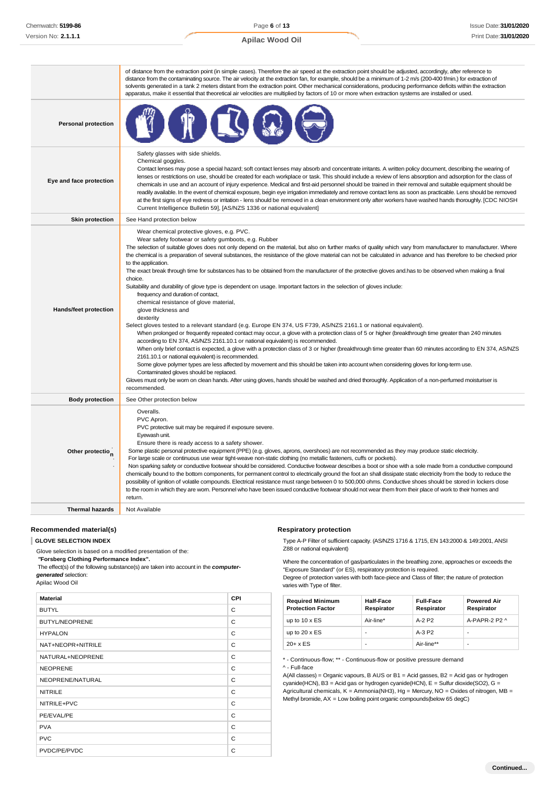Page **6** of **13 Apilac Wood Oil**

|                            | of distance from the extraction point (in simple cases). Therefore the air speed at the extraction point should be adjusted, accordingly, after reference to<br>distance from the contaminating source. The air velocity at the extraction fan, for example, should be a minimum of 1-2 m/s (200-400 f/min.) for extraction of<br>solvents generated in a tank 2 meters distant from the extraction point. Other mechanical considerations, producing performance deficits within the extraction<br>apparatus, make it essential that theoretical air velocities are multiplied by factors of 10 or more when extraction systems are installed or used.                                                                                                                                                                                                                                                                                                                                                                                                                                                                                                                                                                                                                                                                                                                                                                                                                                                                                                                                                                                                                                                                                                                                                                            |
|----------------------------|------------------------------------------------------------------------------------------------------------------------------------------------------------------------------------------------------------------------------------------------------------------------------------------------------------------------------------------------------------------------------------------------------------------------------------------------------------------------------------------------------------------------------------------------------------------------------------------------------------------------------------------------------------------------------------------------------------------------------------------------------------------------------------------------------------------------------------------------------------------------------------------------------------------------------------------------------------------------------------------------------------------------------------------------------------------------------------------------------------------------------------------------------------------------------------------------------------------------------------------------------------------------------------------------------------------------------------------------------------------------------------------------------------------------------------------------------------------------------------------------------------------------------------------------------------------------------------------------------------------------------------------------------------------------------------------------------------------------------------------------------------------------------------------------------------------------------------|
| <b>Personal protection</b> |                                                                                                                                                                                                                                                                                                                                                                                                                                                                                                                                                                                                                                                                                                                                                                                                                                                                                                                                                                                                                                                                                                                                                                                                                                                                                                                                                                                                                                                                                                                                                                                                                                                                                                                                                                                                                                    |
| Eye and face protection    | Safety glasses with side shields.<br>Chemical goggles.<br>Contact lenses may pose a special hazard; soft contact lenses may absorb and concentrate irritants. A written policy document, describing the wearing of<br>lenses or restrictions on use, should be created for each workplace or task. This should include a review of lens absorption and adsorption for the class of<br>chemicals in use and an account of injury experience. Medical and first-aid personnel should be trained in their removal and suitable equipment should be<br>readily available. In the event of chemical exposure, begin eye irrigation immediately and remove contact lens as soon as practicable. Lens should be removed<br>at the first signs of eye redness or irritation - lens should be removed in a clean environment only after workers have washed hands thoroughly. [CDC NIOSH<br>Current Intelligence Bulletin 59], [AS/NZS 1336 or national equivalent]                                                                                                                                                                                                                                                                                                                                                                                                                                                                                                                                                                                                                                                                                                                                                                                                                                                                         |
| <b>Skin protection</b>     | See Hand protection below                                                                                                                                                                                                                                                                                                                                                                                                                                                                                                                                                                                                                                                                                                                                                                                                                                                                                                                                                                                                                                                                                                                                                                                                                                                                                                                                                                                                                                                                                                                                                                                                                                                                                                                                                                                                          |
| Hands/feet protection      | Wear chemical protective gloves, e.g. PVC.<br>Wear safety footwear or safety gumboots, e.g. Rubber<br>The selection of suitable gloves does not only depend on the material, but also on further marks of quality which vary from manufacturer to manufacturer. Where<br>the chemical is a preparation of several substances, the resistance of the glove material can not be calculated in advance and has therefore to be checked prior<br>to the application.<br>The exact break through time for substances has to be obtained from the manufacturer of the protective gloves and has to be observed when making a final<br>choice.<br>Suitability and durability of glove type is dependent on usage. Important factors in the selection of gloves include:<br>frequency and duration of contact,<br>chemical resistance of glove material,<br>glove thickness and<br>dexterity<br>Select gloves tested to a relevant standard (e.g. Europe EN 374, US F739, AS/NZS 2161.1 or national equivalent).<br>When prolonged or frequently repeated contact may occur, a glove with a protection class of 5 or higher (breakthrough time greater than 240 minutes<br>according to EN 374, AS/NZS 2161.10.1 or national equivalent) is recommended.<br>When only brief contact is expected, a glove with a protection class of 3 or higher (breakthrough time greater than 60 minutes according to EN 374, AS/NZS<br>2161.10.1 or national equivalent) is recommended.<br>Some glove polymer types are less affected by movement and this should be taken into account when considering gloves for long-term use.<br>Contaminated gloves should be replaced.<br>Gloves must only be wom on clean hands. After using gloves, hands should be washed and dried thoroughly. Application of a non-perfumed moisturiser is<br>recommended. |
| <b>Body protection</b>     | See Other protection below                                                                                                                                                                                                                                                                                                                                                                                                                                                                                                                                                                                                                                                                                                                                                                                                                                                                                                                                                                                                                                                                                                                                                                                                                                                                                                                                                                                                                                                                                                                                                                                                                                                                                                                                                                                                         |
| Other protection           | Overalls.<br>PVC Apron.<br>PVC protective suit may be required if exposure severe.<br>Eyewash unit.<br>Ensure there is ready access to a safety shower.<br>Some plastic personal protective equipment (PPE) (e.g. gloves, aprons, overshoes) are not recommended as they may produce static electricity.<br>For large scale or continuous use wear tight-weave non-static clothing (no metallic fasteners, cuffs or pockets).<br>Non sparking safety or conductive footwear should be considered. Conductive footwear describes a boot or shoe with a sole made from a conductive compound<br>chemically bound to the bottom components, for permanent control to electrically ground the foot an shall dissipate static electricity from the body to reduce the<br>possibility of ignition of volatile compounds. Electrical resistance must range between 0 to 500,000 ohms. Conductive shoes should be stored in lockers close<br>to the room in which they are worn. Personnel who have been issued conductive footwear should not wear them from their place of work to their homes and<br>return.                                                                                                                                                                                                                                                                                                                                                                                                                                                                                                                                                                                                                                                                                                                            |
| <b>Thermal hazards</b>     | Not Available                                                                                                                                                                                                                                                                                                                                                                                                                                                                                                                                                                                                                                                                                                                                                                                                                                                                                                                                                                                                                                                                                                                                                                                                                                                                                                                                                                                                                                                                                                                                                                                                                                                                                                                                                                                                                      |

# **Recommended material(s)**

#### **GLOVE SELECTION INDEX**

Glove selection is based on a modified presentation of the:

*"***Forsberg Clothing Performance Index".**

The effect(s) of the following substance(s) are taken into account in the *computergenerated* selection:

Apilac Wood Oil

| <b>Material</b>       | <b>CPI</b> |
|-----------------------|------------|
| <b>BUTYL</b>          | C          |
| <b>BUTYL/NEOPRENE</b> | C          |
| <b>HYPALON</b>        | C          |
| NAT+NEOPR+NITRILE     | C          |
| NATURAL+NEOPRENE      | C          |
| <b>NEOPRENE</b>       | C          |
| NEOPRENE/NATURAL      | C          |
| <b>NITRILE</b>        | C          |
| NITRILE+PVC           | C          |
| PE/EVAL/PE            | C          |
| <b>PVA</b>            | C          |
| <b>PVC</b>            | C          |
| PVDC/PE/PVDC          | C          |

#### **Respiratory protection**

Type A-P Filter of sufficient capacity. (AS/NZS 1716 & 1715, EN 143:2000 & 149:2001, ANSI Z88 or national equivalent)

Where the concentration of gas/particulates in the breathing zone, approaches or exceeds the "Exposure Standard" (or ES), respiratory protection is required.

Degree of protection varies with both face-piece and Class of filter; the nature of protection varies with Type of filter.

| <b>Required Minimum</b><br><b>Protection Factor</b> | <b>Half-Face</b><br>Respirator | <b>Full-Face</b><br>Respirator | <b>Powered Air</b><br>Respirator |
|-----------------------------------------------------|--------------------------------|--------------------------------|----------------------------------|
| up to $10 \times ES$                                | Air-line*                      | $A-2$ P <sub>2</sub>           | $A-PAPR-2P2A$                    |
| up to $20 \times ES$                                | ٠                              | $A-3P2$                        | -                                |
| $20+ x ES$                                          | ٠                              | Air-line**                     | -                                |

\* - Continuous-flow; \*\* - Continuous-flow or positive pressure demand

^ - Full-face

A(All classes) = Organic vapours, B AUS or B1 = Acid gasses, B2 = Acid gas or hydrogen cyanide(HCN), B3 = Acid gas or hydrogen cyanide(HCN), E = Sulfur dioxide(SO2), G = Agricultural chemicals, K = Ammonia(NH3), Hg = Mercury, NO = Oxides of nitrogen, MB = Methyl bromide, AX = Low boiling point organic compounds(below 65 degC)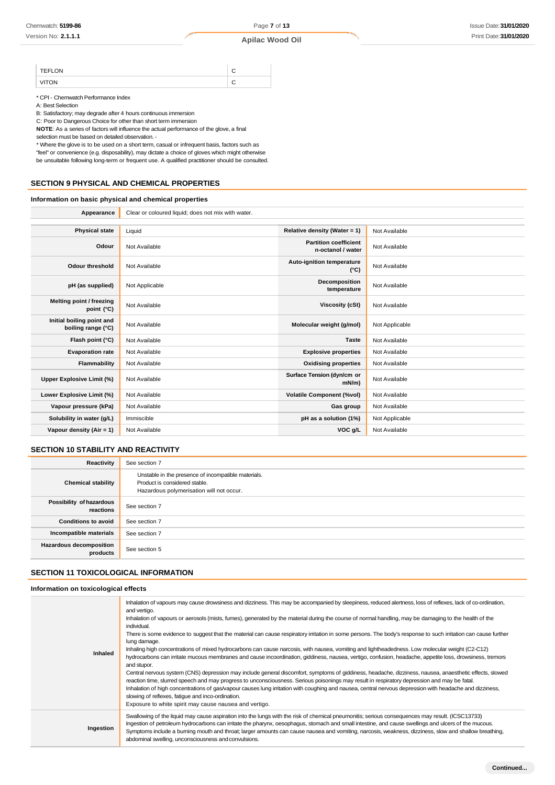| <b>TEFLON</b> |   |
|---------------|---|
|               | ۰ |

\* CPI - Chemwatch Performance Index

A: Best Selection

B: Satisfactory; may degrade after 4 hours continuous immersion

C: Poor to Dangerous Choice for other than short term immersion

**NOTE**: As a series of factors will influence the actual performance of the glove, a final selection must be based on detailed observation. -

\* Where the glove is to be used on a short term, casual or infrequent basis, factors such as "feel" or convenience (e.g. disposability), may dictate a choice of gloves which might otherwise be unsuitable following long-term or frequent use. A qualified practitioner should be consulted.

# **SECTION 9 PHYSICAL AND CHEMICAL PROPERTIES**

# **Information on basic physical and chemical properties**

| Appearance                                      | Clear or coloured liquid; does not mix with water. |                                                   |                |
|-------------------------------------------------|----------------------------------------------------|---------------------------------------------------|----------------|
|                                                 |                                                    |                                                   |                |
| <b>Physical state</b>                           | Liquid                                             | Relative density (Water = 1)                      | Not Available  |
| Odour                                           | Not Available                                      | <b>Partition coefficient</b><br>n-octanol / water | Not Available  |
| <b>Odour threshold</b>                          | Not Available                                      | Auto-ignition temperature<br>$(^{\circ}C)$        | Not Available  |
| pH (as supplied)                                | Not Applicable                                     | Decomposition<br>temperature                      | Not Available  |
| Melting point / freezing<br>point (°C)          | Not Available                                      | Viscosity (cSt)                                   | Not Available  |
| Initial boiling point and<br>boiling range (°C) | Not Available                                      | Molecular weight (g/mol)                          | Not Applicable |
| Flash point (°C)                                | Not Available                                      | <b>Taste</b>                                      | Not Available  |
| <b>Evaporation rate</b>                         | Not Available                                      | <b>Explosive properties</b>                       | Not Available  |
| Flammability                                    | Not Available                                      | <b>Oxidising properties</b>                       | Not Available  |
| Upper Explosive Limit (%)                       | Not Available                                      | Surface Tension (dyn/cm or<br>$mN/m$ )            | Not Available  |
| Lower Explosive Limit (%)                       | Not Available                                      | <b>Volatile Component (%vol)</b>                  | Not Available  |
| Vapour pressure (kPa)                           | Not Available                                      | Gas group                                         | Not Available  |
| Solubility in water (g/L)                       | Immiscible                                         | pH as a solution (1%)                             | Not Applicable |
| Vapour density (Air = 1)                        | Not Available                                      | VOC g/L                                           | Not Available  |
|                                                 |                                                    |                                                   |                |

# **SECTION 10 STABILITY AND REACTIVITY**

| Reactivity                            | See section 7                                                                                                                    |
|---------------------------------------|----------------------------------------------------------------------------------------------------------------------------------|
| <b>Chemical stability</b>             | Unstable in the presence of incompatible materials.<br>Product is considered stable.<br>Hazardous polymerisation will not occur. |
| Possibility of hazardous<br>reactions | See section 7                                                                                                                    |
| <b>Conditions to avoid</b>            | See section 7                                                                                                                    |
| Incompatible materials                | See section 7                                                                                                                    |
| Hazardous decomposition<br>products   | See section 5                                                                                                                    |

### **SECTION 11 TOXICOLOGICAL INFORMATION**

#### **Information on toxicological effects**

| Inhaled   | Inhalation of vapours may cause drowsiness and dizziness. This may be accompanied by sleepiness, reduced alertness, loss of reflexes, lack of co-ordination,<br>and vertigo.<br>Inhalation of vapours or aerosols (mists, fumes), generated by the material during the course of normal handling, may be damaging to the health of the<br>individual.<br>There is some evidence to suggest that the material can cause respiratory irritation in some persons. The body's response to such irritation can cause further<br>lung damage.<br>Inhaling high concentrations of mixed hydrocarbons can cause narcosis, with nausea, vomiting and lightheadedness. Low molecular weight (C2-C12)<br>hydrocarbons can irritate mucous membranes and cause incoordination, giddiness, nausea, vertigo, confusion, headache, appetite loss, drowsiness, tremors<br>and stupor.<br>Central nervous system (CNS) depression may include general discomfort, symptoms of giddiness, headache, dizziness, nausea, anaesthetic effects, slowed<br>reaction time, slurred speech and may progress to unconsciousness. Serious poisonings may result in respiratory depression and may be fatal.<br>Inhalation of high concentrations of gas/vapour causes lung irritation with coughing and nausea, central nervous depression with headache and dizziness,<br>slowing of reflexes, fatigue and inco-ordination.<br>Exposure to white spirit may cause nausea and vertigo. |
|-----------|-------------------------------------------------------------------------------------------------------------------------------------------------------------------------------------------------------------------------------------------------------------------------------------------------------------------------------------------------------------------------------------------------------------------------------------------------------------------------------------------------------------------------------------------------------------------------------------------------------------------------------------------------------------------------------------------------------------------------------------------------------------------------------------------------------------------------------------------------------------------------------------------------------------------------------------------------------------------------------------------------------------------------------------------------------------------------------------------------------------------------------------------------------------------------------------------------------------------------------------------------------------------------------------------------------------------------------------------------------------------------------------------------------------------------------------------------------------|
| Ingestion | Swallowing of the liquid may cause aspiration into the lungs with the risk of chemical pneumonitis; serious consequences may result. (ICSC13733)<br>Ingestion of petroleum hydrocarbons can irritate the pharynx, oesophagus, stomach and small intestine, and cause swellings and ulcers of the mucous.<br>Symptoms include a buming mouth and throat; larger amounts can cause nausea and vomiting, narcosis, weakness, dizziness, slow and shallow breathing,<br>abdominal swelling, unconsciousness and convulsions.                                                                                                                                                                                                                                                                                                                                                                                                                                                                                                                                                                                                                                                                                                                                                                                                                                                                                                                                    |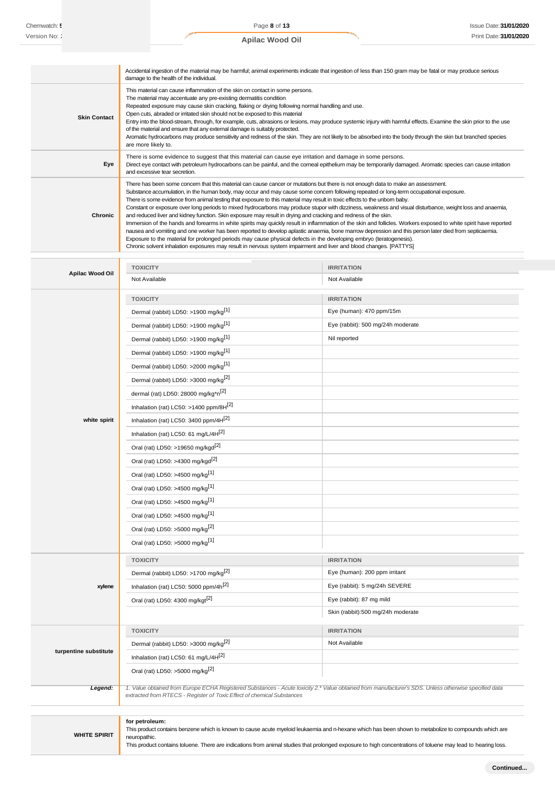|                     | Accidental ingestion of the material may be harmful; animal experiments indicate that ingestion of less than 150 gram may be fatal or may produce serious<br>damage to the health of the individual.                                                                                                                                                                                                                                                                                                                                                                                                                                                                                                                                                                                                                                                                                                                                                                                                                                                                                                                                                                                                                                                            |
|---------------------|-----------------------------------------------------------------------------------------------------------------------------------------------------------------------------------------------------------------------------------------------------------------------------------------------------------------------------------------------------------------------------------------------------------------------------------------------------------------------------------------------------------------------------------------------------------------------------------------------------------------------------------------------------------------------------------------------------------------------------------------------------------------------------------------------------------------------------------------------------------------------------------------------------------------------------------------------------------------------------------------------------------------------------------------------------------------------------------------------------------------------------------------------------------------------------------------------------------------------------------------------------------------|
| <b>Skin Contact</b> | This material can cause inflammation of the skin on contact in some persons.<br>The material may accentuate any pre-existing dermatitis condition<br>Repeated exposure may cause skin cracking, flaking or drying following normal handling and use.<br>Open cuts, abraded or irritated skin should not be exposed to this material<br>Entry into the blood-stream, through, for example, cuts, abrasions or lesions, may produce systemic injury with harmful effects. Examine the skin prior to the use<br>of the material and ensure that any external damage is suitably protected.<br>Aromatic hydrocarbons may produce sensitivity and redness of the skin. They are not likely to be absorbed into the body through the skin but branched species<br>are more likely to.                                                                                                                                                                                                                                                                                                                                                                                                                                                                                 |
| Eye                 | There is some evidence to suggest that this material can cause eye irritation and damage in some persons.<br>Direct eye contact with petroleum hydrocarbons can be painful, and the corneal epithelium may be temporarily damaged. Aromatic species can cause irritation<br>and excessive tear secretion.                                                                                                                                                                                                                                                                                                                                                                                                                                                                                                                                                                                                                                                                                                                                                                                                                                                                                                                                                       |
| Chronic             | There has been some concem that this material can cause cancer or mutations but there is not enough data to make an assessment.<br>Substance accumulation, in the human body, may occur and may cause some concern following repeated or long-term occupational exposure.<br>There is some evidence from animal testing that exposure to this material may result in toxic effects to the unbom baby.<br>Constant or exposure over long periods to mixed hydrocarbons may produce stupor with dizziness, weakness and visual disturbance, weight loss and anaemia,<br>and reduced liver and kidney function. Skin exposure may result in drying and cracking and redness of the skin.<br>Immersion of the hands and forearms in white spirits may quickly result in inflammation of the skin and follicles. Workers exposed to white spirit have reported<br>nausea and vomiting and one worker has been reported to develop aplastic anaemia, bone marrow depression and this person later died from septicaemia.<br>Exposure to the material for prolonged periods may cause physical defects in the developing embryo (teratogenesis).<br>Chronic solvent inhalation exposures may result in nervous system impairment and liver and blood changes. [PATTYS] |

|                       | <b>TOXICITY</b>                                                                                                                                              | <b>IRRITATION</b>                                                                                                                                     |  |
|-----------------------|--------------------------------------------------------------------------------------------------------------------------------------------------------------|-------------------------------------------------------------------------------------------------------------------------------------------------------|--|
| Apilac Wood Oil       | Not Available                                                                                                                                                | Not Available                                                                                                                                         |  |
|                       | <b>TOXICITY</b>                                                                                                                                              | <b>IRRITATION</b>                                                                                                                                     |  |
|                       | Dermal (rabbit) LD50: >1900 mg/kg <sup>[1]</sup>                                                                                                             | Eye (human): 470 ppm/15m                                                                                                                              |  |
|                       | Dermal (rabbit) LD50: >1900 mg/kg <sup>[1]</sup>                                                                                                             | Eye (rabbit): 500 mg/24h moderate                                                                                                                     |  |
|                       | Dermal (rabbit) LD50: >1900 mg/kg <sup>[1]</sup>                                                                                                             | Nil reported                                                                                                                                          |  |
|                       | Dermal (rabbit) LD50: >1900 mg/kg <sup>[1]</sup>                                                                                                             |                                                                                                                                                       |  |
|                       | Dermal (rabbit) LD50: >2000 mg/kg <sup>[1]</sup>                                                                                                             |                                                                                                                                                       |  |
|                       | Dermal (rabbit) LD50: >3000 mg/kg <sup>[2]</sup>                                                                                                             |                                                                                                                                                       |  |
|                       | dermal (rat) LD50: 28000 mg/kg*n <sup>[2]</sup>                                                                                                              |                                                                                                                                                       |  |
|                       | Inhalation (rat) LC50: >1400 ppm/8H[2]                                                                                                                       |                                                                                                                                                       |  |
| white spirit          | Inhalation (rat) LC50: 3400 ppm/4H <sup>[2]</sup>                                                                                                            |                                                                                                                                                       |  |
|                       | Inhalation (rat) LC50: 61 mg/L/4H <sup>[2]</sup>                                                                                                             |                                                                                                                                                       |  |
|                       | Oral (rat) LD50: >19650 mg/kgd <sup>[2]</sup>                                                                                                                |                                                                                                                                                       |  |
|                       | Oral (rat) LD50: >4300 mg/kgd <sup>[2]</sup>                                                                                                                 |                                                                                                                                                       |  |
|                       | Oral (rat) LD50: >4500 mg/kg <sup>[1]</sup>                                                                                                                  |                                                                                                                                                       |  |
|                       | Oral (rat) LD50: >4500 mg/kg <sup>[1]</sup>                                                                                                                  |                                                                                                                                                       |  |
|                       | Oral (rat) LD50: >4500 mg/kg <sup>[1]</sup>                                                                                                                  |                                                                                                                                                       |  |
|                       | Oral (rat) LD50: >4500 mg/kg <sup>[1]</sup>                                                                                                                  |                                                                                                                                                       |  |
|                       | Oral (rat) LD50: >5000 mg/kg <sup>[2]</sup>                                                                                                                  |                                                                                                                                                       |  |
|                       | Oral (rat) LD50: >5000 mg/kg <sup>[1]</sup>                                                                                                                  |                                                                                                                                                       |  |
|                       | <b>TOXICITY</b>                                                                                                                                              | <b>IRRITATION</b>                                                                                                                                     |  |
|                       | Dermal (rabbit) LD50: >1700 mg/kg <sup>[2]</sup>                                                                                                             | Eye (human): 200 ppm irritant                                                                                                                         |  |
| xylene                | Inhalation (rat) LC50: 5000 ppm/4h <sup>[2]</sup>                                                                                                            | Eye (rabbit): 5 mg/24h SEVERE                                                                                                                         |  |
|                       | Oral (rat) LD50: 4300 mg/kgt <sup>[2]</sup>                                                                                                                  | Eye (rabbit): 87 mg mild                                                                                                                              |  |
|                       |                                                                                                                                                              | Skin (rabbit):500 mg/24h moderate                                                                                                                     |  |
|                       | <b>TOXICITY</b>                                                                                                                                              | <b>IRRITATION</b>                                                                                                                                     |  |
|                       | Dermal (rabbit) LD50: >3000 mg/kg <sup>[2]</sup>                                                                                                             | Not Available                                                                                                                                         |  |
| turpentine substitute | Inhalation (rat) LC50: 61 mg/L/4H <sup>[2]</sup>                                                                                                             |                                                                                                                                                       |  |
|                       | Oral (rat) LD50: >5000 mg/kg <sup>[2]</sup>                                                                                                                  |                                                                                                                                                       |  |
| Legend:               | extracted from RTECS - Register of Toxic Effect of chemical Substances                                                                                       | 1. Value obtained from Europe ECHA Registered Substances - Acute toxicity 2.* Value obtained from manufacturer's SDS. Unless otherwise specified data |  |
|                       |                                                                                                                                                              |                                                                                                                                                       |  |
|                       | for petroleum:                                                                                                                                               | This product contains benzene which is known to cause acute myeloid leukaemia and n-hexane which has been shown to metabolize to compounds which are  |  |
| <b>WHITE SPIRIT</b>   | neuropathic.                                                                                                                                                 |                                                                                                                                                       |  |
|                       | This product contains toluene. There are indications from animal studies that prolonged exposure to high concentrations of toluene may lead to hearing loss. |                                                                                                                                                       |  |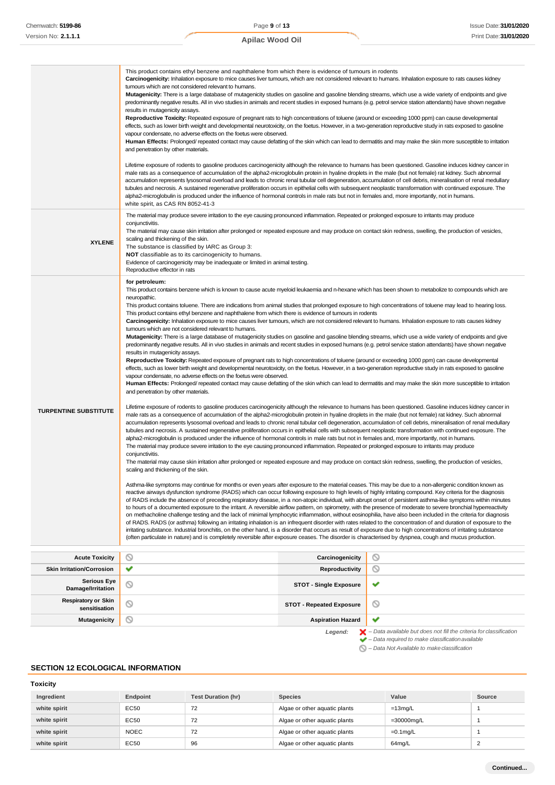|                                             | This product contains ethyl benzene and naphthalene from which there is evidence of tumours in rodents<br>Carcinogenicity: Inhalation exposure to mice causes liver tumours, which are not considered relevant to humans. Inhalation exposure to rats causes kidney<br>tumours which are not considered relevant to humans.<br>Mutagenicity: There is a large database of mutagenicity studies on gasoline and gasoline blending streams, which use a wide variety of endpoints and give<br>predominantly negative results. All in vivo studies in animals and recent studies in exposed humans (e.g. petrol service station attendants) have shown negative<br>results in mutagenicity assays.<br>Reproductive Toxicity: Repeated exposure of pregnant rats to high concentrations of toluene (around or exceeding 1000 ppm) can cause developmental<br>effects, such as lower birth weight and developmental neurotoxicity, on the foetus. However, in a two-generation reproductive study in rats exposed to gasoline<br>vapour condensate, no adverse effects on the foetus were observed.<br>Human Effects: Prolonged/ repeated contact may cause defatting of the skin which can lead to dermatitis and may make the skin more susceptible to irritation<br>and penetration by other materials.<br>Lifetime exposure of rodents to gasoline produces carcinogenicity although the relevance to humans has been questioned. Gasoline induces kidney cancer in<br>male rats as a consequence of accumulation of the alpha2-microglobulin protein in hyaline droplets in the male (but not female) rat kidney. Such abnormal<br>accumulation represents lysosomal overload and leads to chronic renal tubular cell degeneration, accumulation of cell debris, mineralisation of renal medullary<br>tubules and necrosis. A sustained regenerative proliferation occurs in epithelial cells with subsequent neoplastic transformation with continued exposure. The<br>alpha2-microglobulin is produced under the influence of hormonal controls in male rats but not in females and, more importantly, not in humans.<br>white spirit, as CAS RN 8052-41-3                                                                                                                                                                                                                                                                                                                                                                                                                                                                                                                                                                                                                                                                                                                                                                                                                                                                                                                                                                                                                                                                                                                                                                                                                                                                                                                                                                                                                                                                                                                                                                                                                                                                                                                                                                                                                                                                                                                                                                                                                                          |                                      |                                                                                          |  |  |  |
|---------------------------------------------|-------------------------------------------------------------------------------------------------------------------------------------------------------------------------------------------------------------------------------------------------------------------------------------------------------------------------------------------------------------------------------------------------------------------------------------------------------------------------------------------------------------------------------------------------------------------------------------------------------------------------------------------------------------------------------------------------------------------------------------------------------------------------------------------------------------------------------------------------------------------------------------------------------------------------------------------------------------------------------------------------------------------------------------------------------------------------------------------------------------------------------------------------------------------------------------------------------------------------------------------------------------------------------------------------------------------------------------------------------------------------------------------------------------------------------------------------------------------------------------------------------------------------------------------------------------------------------------------------------------------------------------------------------------------------------------------------------------------------------------------------------------------------------------------------------------------------------------------------------------------------------------------------------------------------------------------------------------------------------------------------------------------------------------------------------------------------------------------------------------------------------------------------------------------------------------------------------------------------------------------------------------------------------------------------------------------------------------------------------------------------------------------------------------------------------------------------------------------------------------------------------------------------------------------------------------------------------------------------------------------------------------------------------------------------------------------------------------------------------------------------------------------------------------------------------------------------------------------------------------------------------------------------------------------------------------------------------------------------------------------------------------------------------------------------------------------------------------------------------------------------------------------------------------------------------------------------------------------------------------------------------------------------------------------------------------------------------------------------------------------------------------------------------------------------------------------------------------------------------------------------------------------------------------------------------------------------------------------------------------------------------------------------------------------------------------------------------------------------------------------------------------------------------------------------------------------------------------------------------------------------------------------------------------------------------------------------------------------------------------------------------------------------------------------------------------------------------------------------------------------------------------------------------------------------------------------------------|--------------------------------------|------------------------------------------------------------------------------------------|--|--|--|
| <b>XYLENE</b>                               | The material may produce severe irritation to the eye causing pronounced inflammation. Repeated or prolonged exposure to irritants may produce<br>conjunctivitis.<br>The material may cause skin irritation after prolonged or repeated exposure and may produce on contact skin redness, swelling, the production of vesicles,<br>scaling and thickening of the skin.<br>The substance is classified by IARC as Group 3:<br><b>NOT</b> classifiable as to its carcinogenicity to humans.<br>Evidence of carcinogenicity may be inadequate or limited in animal testing.<br>Reproductive effector in rats                                                                                                                                                                                                                                                                                                                                                                                                                                                                                                                                                                                                                                                                                                                                                                                                                                                                                                                                                                                                                                                                                                                                                                                                                                                                                                                                                                                                                                                                                                                                                                                                                                                                                                                                                                                                                                                                                                                                                                                                                                                                                                                                                                                                                                                                                                                                                                                                                                                                                                                                                                                                                                                                                                                                                                                                                                                                                                                                                                                                                                                                                                                                                                                                                                                                                                                                                                                                                                                                                                                                                                                             |                                      |                                                                                          |  |  |  |
| <b>TURPENTINE SUBSTITUTE</b>                | for petroleum:<br>This product contains benzene which is known to cause acute myeloid leukaemia and n-hexane which has been shown to metabolize to compounds which are<br>neuropathic.<br>This product contains toluene. There are indications from animal studies that prolonged exposure to high concentrations of toluene may lead to hearing loss.<br>This product contains ethyl benzene and naphthalene from which there is evidence of tumours in rodents<br>Carcinogenicity: Inhalation exposure to mice causes liver tumours, which are not considered relevant to humans. Inhalation exposure to rats causes kidney<br>tumours which are not considered relevant to humans.<br>Mutagenicity: There is a large database of mutagenicity studies on gasoline and gasoline blending streams, which use a wide variety of endpoints and give<br>predominantly negative results. All in vivo studies in animals and recent studies in exposed humans (e.g. petrol service station attendants) have shown negative<br>results in mutagenicity assays.<br>Reproductive Toxicity: Repeated exposure of pregnant rats to high concentrations of toluene (around or exceeding 1000 ppm) can cause developmental<br>effects, such as lower birth weight and developmental neurotoxicity, on the foetus. However, in a two-generation reproductive study in rats exposed to gasoline<br>vapour condensate, no adverse effects on the foetus were observed.<br>Human Effects: Prolonged/repeated contact may cause defatting of the skin which can lead to dermatitis and may make the skin more susceptible to irritation<br>and penetration by other materials.<br>Lifetime exposure of rodents to gasoline produces carcinogenicity although the relevance to humans has been questioned. Gasoline induces kidney cancer in<br>male rats as a consequence of accumulation of the alpha2-microglobulin protein in hyaline droplets in the male (but not female) rat kidney. Such abnormal<br>accumulation represents lysosomal overload and leads to chronic renal tubular cell degeneration, accumulation of cell debris, mineralisation of renal medullary<br>tubules and necrosis. A sustained regenerative proliferation occurs in epithelial cells with subsequent neoplastic transformation with continued exposure. The<br>alpha2-microglobulin is produced under the influence of hormonal controls in male rats but not in females and, more importantly, not in humans.<br>The material may produce severe irritation to the eye causing pronounced inflammation. Repeated or prolonged exposure to irritants may produce<br>conjunctivitis.<br>The material may cause skin irritation after prolonged or repeated exposure and may produce on contact skin redness, swelling, the production of vesicles,<br>scaling and thickening of the skin.<br>Asthma-like symptoms may continue for months or even years after exposure to the material ceases. This may be due to a non-allergenic condition known as<br>reactive airways dysfunction syndrome (RADS) which can occur following exposure to high levels of highly irritating compound. Key criteria for the diagnosis<br>of RADS include the absence of preceding respiratory disease, in a non-atopic individual, with abrupt onset of persistent asthma-like symptoms within minutes<br>to hours of a documented exposure to the irritant. A reversible airflow pattern, on spirometry, with the presence of moderate to severe bronchial hyperreactivity<br>on methacholine challenge testing and the lack of minimal lymphocytic inflammation, without eosinophilia, have also been included in the criteria for diagnosis<br>of RADS. RADS (or asthma) following an irritating inhalation is an infrequent disorder with rates related to the concentration of and duration of exposure to the<br>irritating substance. Industrial bronchitis, on the other hand, is a disorder that occurs as result of exposure due to high concentrations of irritating substance<br>(often particulate in nature) and is completely reversible after exposure ceases. The disorder is characterised by dyspnea, cough and mucus production. |                                      |                                                                                          |  |  |  |
| <b>Acute Toxicity</b>                       | ◎                                                                                                                                                                                                                                                                                                                                                                                                                                                                                                                                                                                                                                                                                                                                                                                                                                                                                                                                                                                                                                                                                                                                                                                                                                                                                                                                                                                                                                                                                                                                                                                                                                                                                                                                                                                                                                                                                                                                                                                                                                                                                                                                                                                                                                                                                                                                                                                                                                                                                                                                                                                                                                                                                                                                                                                                                                                                                                                                                                                                                                                                                                                                                                                                                                                                                                                                                                                                                                                                                                                                                                                                                                                                                                                                                                                                                                                                                                                                                                                                                                                                                                                                                                                                     | Carcinogenicity                      | ◎                                                                                        |  |  |  |
| <b>Skin Irritation/Corrosion</b>            | ✔                                                                                                                                                                                                                                                                                                                                                                                                                                                                                                                                                                                                                                                                                                                                                                                                                                                                                                                                                                                                                                                                                                                                                                                                                                                                                                                                                                                                                                                                                                                                                                                                                                                                                                                                                                                                                                                                                                                                                                                                                                                                                                                                                                                                                                                                                                                                                                                                                                                                                                                                                                                                                                                                                                                                                                                                                                                                                                                                                                                                                                                                                                                                                                                                                                                                                                                                                                                                                                                                                                                                                                                                                                                                                                                                                                                                                                                                                                                                                                                                                                                                                                                                                                                                     | Reproductivity                       | O                                                                                        |  |  |  |
| <b>Serious Eye</b><br>Damage/Irritation     | O                                                                                                                                                                                                                                                                                                                                                                                                                                                                                                                                                                                                                                                                                                                                                                                                                                                                                                                                                                                                                                                                                                                                                                                                                                                                                                                                                                                                                                                                                                                                                                                                                                                                                                                                                                                                                                                                                                                                                                                                                                                                                                                                                                                                                                                                                                                                                                                                                                                                                                                                                                                                                                                                                                                                                                                                                                                                                                                                                                                                                                                                                                                                                                                                                                                                                                                                                                                                                                                                                                                                                                                                                                                                                                                                                                                                                                                                                                                                                                                                                                                                                                                                                                                                     | <b>STOT - Single Exposure</b>        | ✔                                                                                        |  |  |  |
| <b>Respiratory or Skin</b><br>sensitisation | O                                                                                                                                                                                                                                                                                                                                                                                                                                                                                                                                                                                                                                                                                                                                                                                                                                                                                                                                                                                                                                                                                                                                                                                                                                                                                                                                                                                                                                                                                                                                                                                                                                                                                                                                                                                                                                                                                                                                                                                                                                                                                                                                                                                                                                                                                                                                                                                                                                                                                                                                                                                                                                                                                                                                                                                                                                                                                                                                                                                                                                                                                                                                                                                                                                                                                                                                                                                                                                                                                                                                                                                                                                                                                                                                                                                                                                                                                                                                                                                                                                                                                                                                                                                                     | ∾<br><b>STOT - Repeated Exposure</b> |                                                                                          |  |  |  |
| <b>Mutagenicity</b>                         | ◎                                                                                                                                                                                                                                                                                                                                                                                                                                                                                                                                                                                                                                                                                                                                                                                                                                                                                                                                                                                                                                                                                                                                                                                                                                                                                                                                                                                                                                                                                                                                                                                                                                                                                                                                                                                                                                                                                                                                                                                                                                                                                                                                                                                                                                                                                                                                                                                                                                                                                                                                                                                                                                                                                                                                                                                                                                                                                                                                                                                                                                                                                                                                                                                                                                                                                                                                                                                                                                                                                                                                                                                                                                                                                                                                                                                                                                                                                                                                                                                                                                                                                                                                                                                                     | <b>Aspiration Hazard</b>             | ✔                                                                                        |  |  |  |
|                                             |                                                                                                                                                                                                                                                                                                                                                                                                                                                                                                                                                                                                                                                                                                                                                                                                                                                                                                                                                                                                                                                                                                                                                                                                                                                                                                                                                                                                                                                                                                                                                                                                                                                                                                                                                                                                                                                                                                                                                                                                                                                                                                                                                                                                                                                                                                                                                                                                                                                                                                                                                                                                                                                                                                                                                                                                                                                                                                                                                                                                                                                                                                                                                                                                                                                                                                                                                                                                                                                                                                                                                                                                                                                                                                                                                                                                                                                                                                                                                                                                                                                                                                                                                                                                       | Legend:                              | $\blacktriangleright$ - Data available but does not fill the criteria for classification |  |  |  |

- *– Data required to make classificationavailable*
- *– Data Not Available to makeclassification*

# **SECTION 12 ECOLOGICAL INFORMATION**

<span id="page-8-0"></span>

| <b>Toxicity</b> |             |                           |                               |               |        |
|-----------------|-------------|---------------------------|-------------------------------|---------------|--------|
| Ingredient      | Endpoint    | <b>Test Duration (hr)</b> | <b>Species</b>                | Value         | Source |
| white spirit    | <b>EC50</b> | 72                        | Algae or other aquatic plants | $=13$ mg/L    |        |
| white spirit    | <b>EC50</b> | 72                        | Algae or other aquatic plants | $=30000$ mg/L |        |
| white spirit    | <b>NOEC</b> | 72                        | Algae or other aquatic plants | $=0.1$ mg/L   |        |
| white spirit    | EC50        | 96                        | Algae or other aquatic plants | 64mg/L        |        |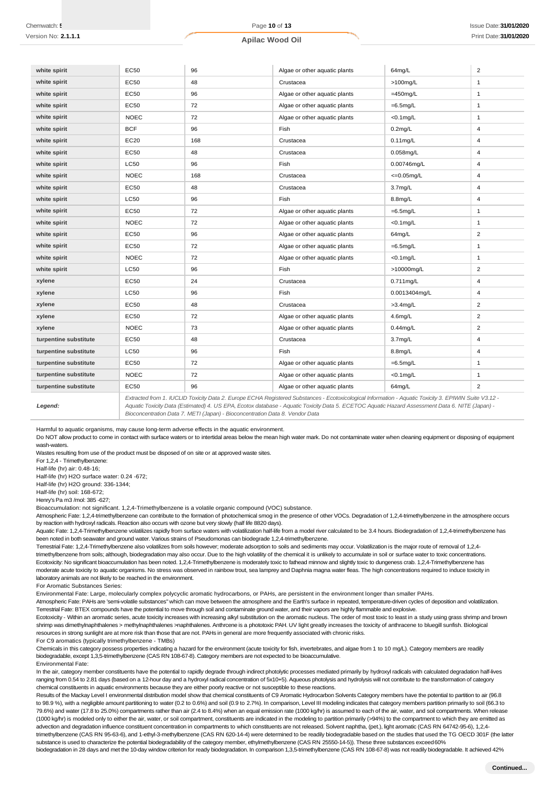#### **Apilac Wood Oil**

| white spirit          | <b>EC50</b> | 96                                                                                                                                                                                                                                                                                                       | Algae or other aquatic plants | 64mg/L              | $\overline{2}$ |
|-----------------------|-------------|----------------------------------------------------------------------------------------------------------------------------------------------------------------------------------------------------------------------------------------------------------------------------------------------------------|-------------------------------|---------------------|----------------|
| white spirit          | EC50        | 48                                                                                                                                                                                                                                                                                                       | Crustacea                     | >100mg/L            | $\mathbf{1}$   |
| white spirit          | EC50        | 96                                                                                                                                                                                                                                                                                                       | Algae or other aquatic plants | $=450$ mg/L         | $\mathbf{1}$   |
| white spirit          | EC50        | 72                                                                                                                                                                                                                                                                                                       | Algae or other aquatic plants | $=6.5$ mg/L         | $\mathbf{1}$   |
| white spirit          | <b>NOEC</b> | 72                                                                                                                                                                                                                                                                                                       | Algae or other aquatic plants | $<$ 0.1 $mq/L$      | $\mathbf{1}$   |
| white spirit          | <b>BCF</b>  | 96                                                                                                                                                                                                                                                                                                       | Fish                          | $0.2$ mg/L          | $\overline{4}$ |
| white spirit          | EC20        | 168                                                                                                                                                                                                                                                                                                      | Crustacea                     | $0.11$ mg/L         | 4              |
| white spirit          | EC50        | 48                                                                                                                                                                                                                                                                                                       | Crustacea                     | $0.058$ mg/L        | 4              |
| white spirit          | <b>LC50</b> | 96                                                                                                                                                                                                                                                                                                       | Fish                          | 0.00746mg/L         | $\overline{4}$ |
| white spirit          | <b>NOEC</b> | 168                                                                                                                                                                                                                                                                                                      | Crustacea                     | $=0.05$ mg/L        | 4              |
| white spirit          | <b>EC50</b> | 48                                                                                                                                                                                                                                                                                                       | Crustacea                     | 3.7 <sub>mg/L</sub> | $\overline{4}$ |
| white spirit          | <b>LC50</b> | 96                                                                                                                                                                                                                                                                                                       | Fish                          | $8.8$ mg/L          | 4              |
| white spirit          | EC50        | 72                                                                                                                                                                                                                                                                                                       | Algae or other aquatic plants | $=6.5$ mg/L         | $\mathbf{1}$   |
| white spirit          | <b>NOEC</b> | 72                                                                                                                                                                                                                                                                                                       | Algae or other aquatic plants | $<$ 0.1 $mg/L$      | $\mathbf{1}$   |
| white spirit          | <b>EC50</b> | 96                                                                                                                                                                                                                                                                                                       | Algae or other aquatic plants | 64mg/L              | $\overline{2}$ |
| white spirit          | EC50        | 72                                                                                                                                                                                                                                                                                                       | Algae or other aquatic plants | $=6.5$ mg/L         | $\mathbf{1}$   |
| white spirit          | <b>NOEC</b> | 72                                                                                                                                                                                                                                                                                                       | Algae or other aquatic plants | $<$ 0.1 $mg/L$      | $\mathbf{1}$   |
| white spirit          | <b>LC50</b> | 96                                                                                                                                                                                                                                                                                                       | Fish                          | >10000mg/L          | $\overline{2}$ |
| xylene                | <b>EC50</b> | 24                                                                                                                                                                                                                                                                                                       | Crustacea                     | $0.711$ mg/L        | $\overline{4}$ |
| xylene                | <b>LC50</b> | 96                                                                                                                                                                                                                                                                                                       | Fish                          | 0.0013404mg/L       | 4              |
| xylene                | EC50        | 48                                                                                                                                                                                                                                                                                                       | Crustacea                     | $>3.4$ mg/L         | $\overline{2}$ |
| xylene                | EC50        | 72                                                                                                                                                                                                                                                                                                       | Algae or other aquatic plants | 4.6mg/L             | $\overline{2}$ |
| xylene                | <b>NOEC</b> | 73                                                                                                                                                                                                                                                                                                       | Algae or other aquatic plants | $0.44$ mg/L         | $\overline{2}$ |
| turpentine substitute | EC50        | 48                                                                                                                                                                                                                                                                                                       | Crustacea                     | 3.7 <sub>mg/L</sub> | 4              |
| turpentine substitute | <b>LC50</b> | 96                                                                                                                                                                                                                                                                                                       | Fish                          | $8.8$ mg/L          | 4              |
| turpentine substitute | EC50        | 72                                                                                                                                                                                                                                                                                                       | Algae or other aquatic plants | $=6.5$ mg/L         | $\mathbf{1}$   |
| turpentine substitute | <b>NOEC</b> | 72                                                                                                                                                                                                                                                                                                       | Algae or other aquatic plants | $<$ 0.1 $mg/L$      | $\mathbf{1}$   |
| turpentine substitute | EC50        | 96                                                                                                                                                                                                                                                                                                       | Algae or other aquatic plants | 64mg/L              | $\overline{2}$ |
| Legend:               |             | Extracted from 1. IUCLID Toxicity Data 2. Europe ECHA Registered Substances - Ecotoxicological Information - Aquatic Toxicity 3. EPIWIN Suite V3.12 -<br>Aquatic Toxicity Data (Estimated) 4. US EPA, Ecotox database - Aquatic Toxicity Data 5. ECETOC Aquatic Hazard Assessment Data 6. NITE (Japan) - |                               |                     |                |

*Bioconcentration Data 7. METI (Japan) - Bioconcentration Data 8. Vendor Data*

Harmful to aquatic organisms, may cause long-term adverse effects in the aquatic environment.

Do NOT allow product to come in contact with surface waters or to intertidal areas below the mean high water mark. Do not contaminate water when cleaning equipment or disposing of equipment wash-waters.

Wastes resulting from use of the product must be disposed of on site or at approved waste sites.

For 1,2,4 - Trimethylbenzene:

Half-life (hr) air: 0.48-16;

Half-life (hr) H2O surface water: 0.24 -672;

Half-life (hr) H2O ground: 336-1344;

Half-life (hr) soil: 168-672;

Henry's Pa m3 /mol: 385 -627;

Bioaccumulation: not significant. 1,2,4-Trimethylbenzene is a volatile organic compound (VOC) substance.

Atmospheric Fate: 1,2,4-trimethylbenzene can contribute to the formation of photochemical smog in the presence of other VOCs. Degradation of 1,2,4-trimethylbenzene in the atmosphere occurs by reaction with hydroxyl radicals. Reaction also occurs with ozone but very slowly (half life 8820 days).

Aquatic Fate: 1,2,4-Trimethylbenzene volatilizes rapidly from surface waters with volatilization half-life from a model river calculated to be 3.4 hours. Biodegradation of 1,2,4-trimethylbenzene has been noted in both seawater and ground water. Various strains of Pseudomonas can biodegrade 1,2,4-trimethylbenzene.

Terrestrial Fate: 1,2,4-Trimethylbenzene also volatilizes from soils however; moderate adsorption to soils and sediments may occur. Volatilization is the major route of removal of 1,2,4 trimethylbenzene from soils; although, biodegradation may also occur. Due to the high volatility of the chemical it is unlikely to accumulate in soil or surface water to toxic concentrations. Ecotoxicity: No significant bioaccumulation has been noted. 1,2,4-Trimethylbenzene is moderately toxic to fathead minnow and slightly toxic to dungeness crab. 1,2,4-Trimethylbenzene has moderate acute toxicity to aquatic organisms. No stress was observed in rainbow trout, sea lamprey and Daphnia magna water fleas. The high concentrations required to induce toxicity in laboratory animals are not likely to be reached in the environment.

For Aromatic Substances Series:

Environmental Fate: Large, molecularly complex polycyclic aromatic hydrocarbons, or PAHs, are persistent in the environment longer than smaller PAHs.

Atmospheric Fate: PAHs are 'semi-volatile substances" which can move between the atmosphere and the Earth's surface in repeated, temperature-driven cycles of deposition and volatilization. Terrestrial Fate: BTEX compounds have the potential to move through soil and contaminate ground water, and their vapors are highly flammable and explosive.

Ecotoxicity - Within an aromatic series, acute toxicity increases with increasing alkyl substitution on the aromatic nucleus. The order of most toxic to least in a study using grass shrimp and brown shrimp was dimethylnaphthalenes > methylnaphthalenes >naphthalenes. Anthrcene is a phototoxic PAH. UV light greatly increases the toxicity of anthracene to bluegill sunfish. Biological resources in strong sunlight are at more risk than those that are not. PAHs in general are more frequently associated with chronic risks.

For C9 aromatics (typically trimethylbenzene - TMBs)

Chemicals in this category possess properties indicating a hazard for the environment (acute toxicity for fish, invertebrates, and algae from 1 to 10 mg/L). Category members are readily biodegradable, except 1,3,5-trimethylbenzene (CAS RN 108-67-8). Category members are not expected to be bioaccumulative. Environmental Fate:

In the air, category member constituents have the potential to rapidly degrade through indirect photolytic processes mediated primarily by hydroxyl radicals with calculated degradation half-lives ranging from 0.54 to 2.81 days (based on a 12-hour day and a hydroxyl radical concentration of 5x10+5). Aqueous photolysis and hydrolysis will not contribute to the transformation of category chemical constituents in aquatic environments because they are either poorly reactive or not susceptible to these reactions.

Results of the Mackay Level I environmental distribution model show that chemical constituents of C9 Aromatic Hydrocarbon Solvents Category members have the potential to partition to air (96.8 to 98.9 %), with a negligible amount partitioning to water (0.2 to 0.6%) and soil (0.9 to 2.7%). In comparison, Level III modeling indicates that category members partition primarily to soil (66.3 to 79.6%) and water (17.8 to 25.0%) compartments rather than air (2.4 to 8.4%) when an equal emission rate (1000 kg/hr) is assumed to each of the air, water, and soil compartments. When release (1000 kg/hr) is modeled only to either the air, water, or soil compartment, constituents are indicated in the modeling to partition primarily (>94%) to the compartment to which they are emitted as advection and degradation influence constituent concentration in compartments to which constituents are not released. Solvent naphtha, (pet.), light aromatic (CAS RN 64742-95-6), 1,2,4 trimethylbenzene (CAS RN 95-63-6), and 1-ethyl-3-methylbenzene (CAS RN 620-14-4) were determined to be readily biodegradable based on the studies that used the TG OECD 301F (the latter substance is used to characterize the potential biodegradability of the category member, ethylmethylbenzene (CAS RN 25550-14-5)). These three substances exceed60% biodegradation in 28 days and met the 10-day window criterion for ready biodegradation. In comparison 1,3,5-trimethylbenzene (CAS RN 108-67-8) was not readily biodegradable. It achieved 42%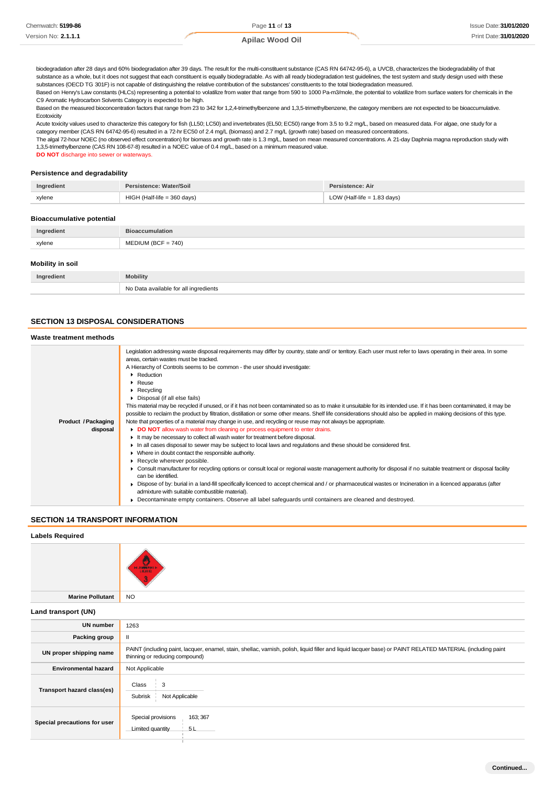biodegradation after 28 days and 60% biodegradation after 39 days. The result for the multi-constituent substance (CAS RN 64742-95-6), a UVCB, characterizes the biodegradability of that substance as a whole, but it does not suggest that each constituent is equally biodegradable. As with all ready biodegradation test guidelines, the test system and study design used with these substances (OECD TG 301F) is not capable of distinguishing the relative contribution of the substances' constituents to the total biodegradation measured.

Based on Henry's Law constants (HLCs) representing a potential to volatilize from water that range from 590 to 1000 Pa-m3/mole, the potential to volatilize from surface waters for chemicals in the C9 Aromatic Hydrocarbon Solvents Category is expected to be high.

Based on the measured bioconcentration factors that range from 23 to 342 for 1,2,4-trimethylbenzene and 1,3,5-trimethylbenzene, the category members are not expected to be bioaccumulative. **Ecotoxicity** 

Acute toxicity values used to characterize this category for fish (LL50; LC50) and invertebrates (EL50; EC50) range from 3.5 to 9.2 mg/L, based on measured data. For algae, one study for a category member (CAS RN 64742-95-6) resulted in a 72-hr EC50 of 2.4 mg/L (biomass) and 2.7 mg/L (growth rate) based on measured concentrations.

The algal 72-hour NOEC (no observed effect concentration) for biomass and growth rate is 1.3 mg/L, based on mean measured concentrations. A 21-day Daphnia magna reproduction study with 1,3,5-trimethylbenzene (CAS RN 108-67-8) resulted in a NOEC value of 0.4 mg/L, based on a minimum measured value.

**DO NOT** discharge into sewer or waterways.

#### **Persistence and degradability**

| Ingredient                       | Persistence: Water/Soil       | <b>Persistence: Air</b>       |
|----------------------------------|-------------------------------|-------------------------------|
| xylene                           | $HIGH$ (Half-life = 360 days) | LOW (Half-life $= 1.83$ days) |
| <b>Bioaccumulative potential</b> |                               |                               |
| Ingredient                       | <b>Bioaccumulation</b>        |                               |
| xylene                           | $MEDIUM (BCF = 740)$          |                               |

#### **Mobility in soil**

| Ingredient | Mobility                                   |
|------------|--------------------------------------------|
|            | No Data available for all ingredients<br>. |

# **SECTION 13 DISPOSAL CONSIDERATIONS**

### **Waste treatment methods**

| Legislation addressing waste disposal requirements may differ by country, state and/ or territory. Each user must refer to laws operating in their area. In some<br>areas, certain wastes must be tracked.<br>A Hierarchy of Controls seems to be common - the user should investigate:<br>Reduction<br>$\blacktriangleright$ Reuse<br>$\triangleright$ Recycling<br>Disposal (if all else fails)<br>This material may be recycled if unused, or if it has not been contaminated so as to make it unsuitable for its intended use. If it has been contaminated, it may be<br>possible to reclaim the product by filtration, distillation or some other means. Shelf life considerations should also be applied in making decisions of this type.<br>Note that properties of a material may change in use, and recycling or reuse may not always be appropriate.<br>Product / Packaging<br>DO NOT allow wash water from cleaning or process equipment to enter drains.<br>disposal<br>It may be necessary to collect all wash water for treatment before disposal.<br>In all cases disposal to sewer may be subject to local laws and regulations and these should be considered first.<br>• Where in doubt contact the responsible authority.<br>Recycle wherever possible.<br>• Consult manufacturer for recycling options or consult local or regional waste management authority for disposal if no suitable treatment or disposal facility<br>can be identified.<br>► Dispose of by: burial in a land-fill specifically licenced to accept chemical and / or pharmaceutical wastes or Incineration in a licenced apparatus (after<br>admixture with suitable combustible material).<br>Decontaminate empty containers. Observe all label safeguards until containers are cleaned and destroyed. |  |
|-----------------------------------------------------------------------------------------------------------------------------------------------------------------------------------------------------------------------------------------------------------------------------------------------------------------------------------------------------------------------------------------------------------------------------------------------------------------------------------------------------------------------------------------------------------------------------------------------------------------------------------------------------------------------------------------------------------------------------------------------------------------------------------------------------------------------------------------------------------------------------------------------------------------------------------------------------------------------------------------------------------------------------------------------------------------------------------------------------------------------------------------------------------------------------------------------------------------------------------------------------------------------------------------------------------------------------------------------------------------------------------------------------------------------------------------------------------------------------------------------------------------------------------------------------------------------------------------------------------------------------------------------------------------------------------------------------------------------------------------------------------------------------------------------------|--|
|                                                                                                                                                                                                                                                                                                                                                                                                                                                                                                                                                                                                                                                                                                                                                                                                                                                                                                                                                                                                                                                                                                                                                                                                                                                                                                                                                                                                                                                                                                                                                                                                                                                                                                                                                                                                     |  |
|                                                                                                                                                                                                                                                                                                                                                                                                                                                                                                                                                                                                                                                                                                                                                                                                                                                                                                                                                                                                                                                                                                                                                                                                                                                                                                                                                                                                                                                                                                                                                                                                                                                                                                                                                                                                     |  |
|                                                                                                                                                                                                                                                                                                                                                                                                                                                                                                                                                                                                                                                                                                                                                                                                                                                                                                                                                                                                                                                                                                                                                                                                                                                                                                                                                                                                                                                                                                                                                                                                                                                                                                                                                                                                     |  |
|                                                                                                                                                                                                                                                                                                                                                                                                                                                                                                                                                                                                                                                                                                                                                                                                                                                                                                                                                                                                                                                                                                                                                                                                                                                                                                                                                                                                                                                                                                                                                                                                                                                                                                                                                                                                     |  |
|                                                                                                                                                                                                                                                                                                                                                                                                                                                                                                                                                                                                                                                                                                                                                                                                                                                                                                                                                                                                                                                                                                                                                                                                                                                                                                                                                                                                                                                                                                                                                                                                                                                                                                                                                                                                     |  |
|                                                                                                                                                                                                                                                                                                                                                                                                                                                                                                                                                                                                                                                                                                                                                                                                                                                                                                                                                                                                                                                                                                                                                                                                                                                                                                                                                                                                                                                                                                                                                                                                                                                                                                                                                                                                     |  |
|                                                                                                                                                                                                                                                                                                                                                                                                                                                                                                                                                                                                                                                                                                                                                                                                                                                                                                                                                                                                                                                                                                                                                                                                                                                                                                                                                                                                                                                                                                                                                                                                                                                                                                                                                                                                     |  |
|                                                                                                                                                                                                                                                                                                                                                                                                                                                                                                                                                                                                                                                                                                                                                                                                                                                                                                                                                                                                                                                                                                                                                                                                                                                                                                                                                                                                                                                                                                                                                                                                                                                                                                                                                                                                     |  |
|                                                                                                                                                                                                                                                                                                                                                                                                                                                                                                                                                                                                                                                                                                                                                                                                                                                                                                                                                                                                                                                                                                                                                                                                                                                                                                                                                                                                                                                                                                                                                                                                                                                                                                                                                                                                     |  |
|                                                                                                                                                                                                                                                                                                                                                                                                                                                                                                                                                                                                                                                                                                                                                                                                                                                                                                                                                                                                                                                                                                                                                                                                                                                                                                                                                                                                                                                                                                                                                                                                                                                                                                                                                                                                     |  |
|                                                                                                                                                                                                                                                                                                                                                                                                                                                                                                                                                                                                                                                                                                                                                                                                                                                                                                                                                                                                                                                                                                                                                                                                                                                                                                                                                                                                                                                                                                                                                                                                                                                                                                                                                                                                     |  |
|                                                                                                                                                                                                                                                                                                                                                                                                                                                                                                                                                                                                                                                                                                                                                                                                                                                                                                                                                                                                                                                                                                                                                                                                                                                                                                                                                                                                                                                                                                                                                                                                                                                                                                                                                                                                     |  |
|                                                                                                                                                                                                                                                                                                                                                                                                                                                                                                                                                                                                                                                                                                                                                                                                                                                                                                                                                                                                                                                                                                                                                                                                                                                                                                                                                                                                                                                                                                                                                                                                                                                                                                                                                                                                     |  |
|                                                                                                                                                                                                                                                                                                                                                                                                                                                                                                                                                                                                                                                                                                                                                                                                                                                                                                                                                                                                                                                                                                                                                                                                                                                                                                                                                                                                                                                                                                                                                                                                                                                                                                                                                                                                     |  |
|                                                                                                                                                                                                                                                                                                                                                                                                                                                                                                                                                                                                                                                                                                                                                                                                                                                                                                                                                                                                                                                                                                                                                                                                                                                                                                                                                                                                                                                                                                                                                                                                                                                                                                                                                                                                     |  |
|                                                                                                                                                                                                                                                                                                                                                                                                                                                                                                                                                                                                                                                                                                                                                                                                                                                                                                                                                                                                                                                                                                                                                                                                                                                                                                                                                                                                                                                                                                                                                                                                                                                                                                                                                                                                     |  |
|                                                                                                                                                                                                                                                                                                                                                                                                                                                                                                                                                                                                                                                                                                                                                                                                                                                                                                                                                                                                                                                                                                                                                                                                                                                                                                                                                                                                                                                                                                                                                                                                                                                                                                                                                                                                     |  |
|                                                                                                                                                                                                                                                                                                                                                                                                                                                                                                                                                                                                                                                                                                                                                                                                                                                                                                                                                                                                                                                                                                                                                                                                                                                                                                                                                                                                                                                                                                                                                                                                                                                                                                                                                                                                     |  |
|                                                                                                                                                                                                                                                                                                                                                                                                                                                                                                                                                                                                                                                                                                                                                                                                                                                                                                                                                                                                                                                                                                                                                                                                                                                                                                                                                                                                                                                                                                                                                                                                                                                                                                                                                                                                     |  |
|                                                                                                                                                                                                                                                                                                                                                                                                                                                                                                                                                                                                                                                                                                                                                                                                                                                                                                                                                                                                                                                                                                                                                                                                                                                                                                                                                                                                                                                                                                                                                                                                                                                                                                                                                                                                     |  |
|                                                                                                                                                                                                                                                                                                                                                                                                                                                                                                                                                                                                                                                                                                                                                                                                                                                                                                                                                                                                                                                                                                                                                                                                                                                                                                                                                                                                                                                                                                                                                                                                                                                                                                                                                                                                     |  |

# **SECTION 14 TRANSPORT INFORMATION**

# **Labels Required**

|                              | <b>HARRIS HI</b><br><b>LIGHTE</b>                                                                                                                                                             |
|------------------------------|-----------------------------------------------------------------------------------------------------------------------------------------------------------------------------------------------|
| <b>Marine Pollutant</b>      | NO.                                                                                                                                                                                           |
| Land transport (UN)          |                                                                                                                                                                                               |
| <b>UN number</b>             | 1263                                                                                                                                                                                          |
| Packing group                | н.                                                                                                                                                                                            |
| UN proper shipping name      | PAINT (including paint, lacquer, enamel, stain, shellac, varnish, polish, liquid filler and liquid lacquer base) or PAINT RELATED MATERIAL (including paint<br>thinning or reducing compound) |
| <b>Environmental hazard</b>  | Not Applicable                                                                                                                                                                                |
| Transport hazard class(es)   | Class<br>3<br>Subrisk<br>Not Applicable                                                                                                                                                       |
| Special precautions for user | Special provisions<br>163; 367<br>5L<br>Limited quantity                                                                                                                                      |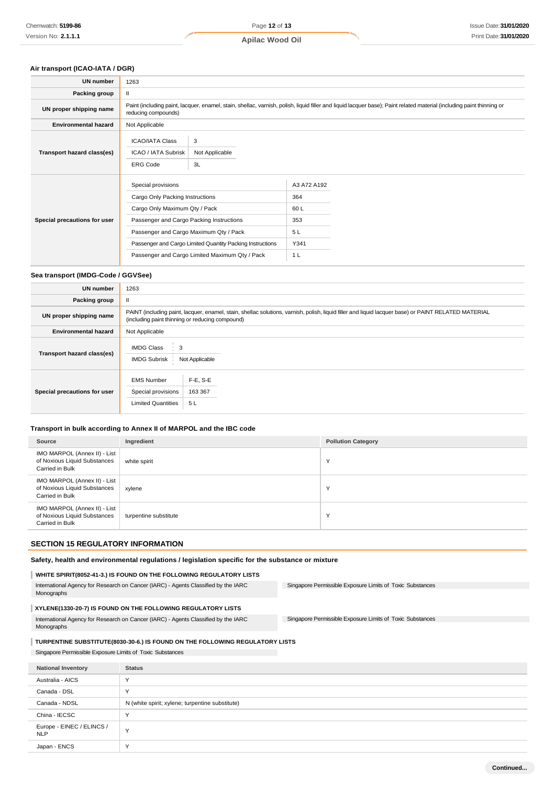# **Air transport (ICAO-IATA / DGR)**

| <b>UN number</b>             | 1263                                                                                                                                                                                                                                                                                        |                                                                                                                                                                       |                                                                   |  |
|------------------------------|---------------------------------------------------------------------------------------------------------------------------------------------------------------------------------------------------------------------------------------------------------------------------------------------|-----------------------------------------------------------------------------------------------------------------------------------------------------------------------|-------------------------------------------------------------------|--|
| Packing group                | $\mathbf{H}$                                                                                                                                                                                                                                                                                |                                                                                                                                                                       |                                                                   |  |
| UN proper shipping name      | reducing compounds)                                                                                                                                                                                                                                                                         | Paint (including paint, lacquer, enamel, stain, shellac, varnish, polish, liquid filler and liquid lacquer base); Paint related material (including paint thinning or |                                                                   |  |
| <b>Environmental hazard</b>  | Not Applicable                                                                                                                                                                                                                                                                              |                                                                                                                                                                       |                                                                   |  |
| Transport hazard class(es)   | <b>ICAO/IATA Class</b><br>3<br>Not Applicable<br>ICAO / IATA Subrisk<br>3L<br><b>ERG Code</b>                                                                                                                                                                                               |                                                                                                                                                                       |                                                                   |  |
| Special precautions for user | Special provisions<br>Cargo Only Packing Instructions<br>Cargo Only Maximum Qty / Pack<br>Passenger and Cargo Packing Instructions<br>Passenger and Cargo Maximum Qty / Pack<br>Passenger and Cargo Limited Quantity Packing Instructions<br>Passenger and Cargo Limited Maximum Qty / Pack |                                                                                                                                                                       | A3 A72 A192<br>364<br>60 L<br>353<br>5L<br>Y341<br>1 <sub>L</sub> |  |

# **Sea transport (IMDG-Code / GGVSee)**

| UN number                    | 1263                                                                                                                                                                                                    |                           |  |
|------------------------------|---------------------------------------------------------------------------------------------------------------------------------------------------------------------------------------------------------|---------------------------|--|
| Packing group                | Ш.                                                                                                                                                                                                      |                           |  |
| UN proper shipping name      | PAINT (including paint, lacquer, enamel, stain, shellac solutions, varnish, polish, liquid filler and liquid lacquer base) or PAINT RELATED MATERIAL<br>(including paint thinning or reducing compound) |                           |  |
| <b>Environmental hazard</b>  | Not Applicable                                                                                                                                                                                          |                           |  |
| Transport hazard class(es)   | <b>IMDG Class</b><br>3<br><b>IMDG Subrisk</b>                                                                                                                                                           | Not Applicable            |  |
| Special precautions for user | <b>EMS Number</b><br>Special provisions<br><b>Limited Quantities</b>                                                                                                                                    | F-E, S-E<br>163 367<br>5L |  |

#### **Transport in bulk according to Annex II of MARPOL and the IBC code**

| Source                                                                          | Ingredient            | <b>Pollution Category</b> |
|---------------------------------------------------------------------------------|-----------------------|---------------------------|
| IMO MARPOL (Annex II) - List<br>of Noxious Liquid Substances<br>Carried in Bulk | white spirit          | N                         |
| IMO MARPOL (Annex II) - List<br>of Noxious Liquid Substances<br>Carried in Bulk | xylene                |                           |
| IMO MARPOL (Annex II) - List<br>of Noxious Liquid Substances<br>Carried in Bulk | turpentine substitute | x.                        |

# **SECTION 15 REGULATORY INFORMATION**

#### **Safety, health and environmental regulations / legislation specific for the substance or mixture**

# **WHITE SPIRIT(8052-41-3.) IS FOUND ON THE FOLLOWING REGULATORY LISTS**

| International Agency for Research on Cancer (IARC) - Agents Classified by the IARC<br>Monographs | Singapore Permissible Exposure Limits of Toxic Substances |  |
|--------------------------------------------------------------------------------------------------|-----------------------------------------------------------|--|
| XYLENE(1330-20-7) IS FOUND ON THE FOLLOWING REGULATORY LISTS                                     |                                                           |  |
| International Agency for Research on Cancer (IARC) - Agents Classified by the IARC               | Singapore Permissible Exposure Limits of Toxic Substances |  |

# Monographs

# **TURPENTINE SUBSTITUTE(8030-30-6.) IS FOUND ON THE FOLLOWING REGULATORY LISTS**

# Singapore Permissible Exposure Limits of Toxic Substances

| <b>National Inventory</b>               | <b>Status</b>                                   |
|-----------------------------------------|-------------------------------------------------|
| Australia - AICS                        | $\checkmark$                                    |
| Canada - DSL                            | $\checkmark$                                    |
| Canada - NDSL                           | N (white spirit; xylene; turpentine substitute) |
| China - IECSC                           | $\checkmark$                                    |
| Europe - EINEC / ELINCS /<br><b>NLP</b> | Y                                               |
| Japan - ENCS                            | $\checkmark$                                    |